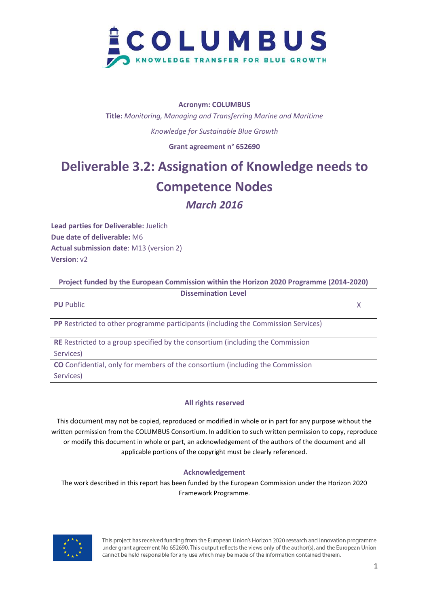

#### **Acronym: COLUMBUS**

**Title:** *Monitoring, Managing and Transferring Marine and Maritime Knowledge for Sustainable Blue Growth*

**Grant agreement n° 652690**

## **Deliverable 3.2: Assignation of Knowledge needs to Competence Nodes**

### *March 2016*

**Lead parties for Deliverable:** Juelich **Due date of deliverable:** M6 **Actual submission date**: M13 (version 2) **Version**: v2

| Project funded by the European Commission within the Horizon 2020 Programme (2014-2020)  |  |
|------------------------------------------------------------------------------------------|--|
| <b>Dissemination Level</b>                                                               |  |
| <b>PU</b> Public                                                                         |  |
| <b>PP</b> Restricted to other programme participants (including the Commission Services) |  |
| <b>RE</b> Restricted to a group specified by the consortium (including the Commission    |  |
| Services)                                                                                |  |
| <b>CO</b> Confidential, only for members of the consortium (including the Commission     |  |
| Services)                                                                                |  |

#### **All rights reserved**

This document may not be copied, reproduced or modified in whole or in part for any purpose without the written permission from the COLUMBUS Consortium. In addition to such written permission to copy, reproduce or modify this document in whole or part, an acknowledgement of the authors of the document and all applicable portions of the copyright must be clearly referenced.

#### **Acknowledgement**

The work described in this report has been funded by the European Commission under the Horizon 2020 Framework Programme.

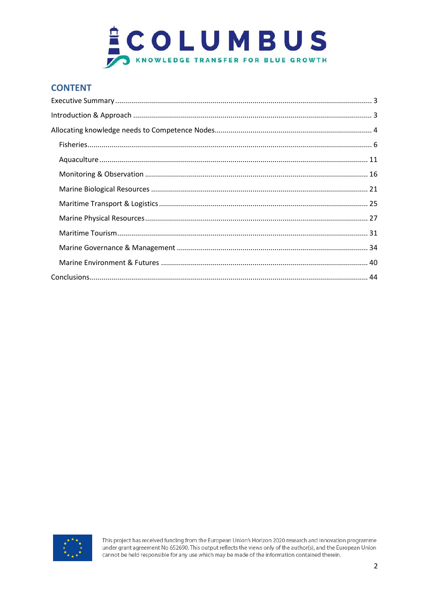

### **CONTENT**

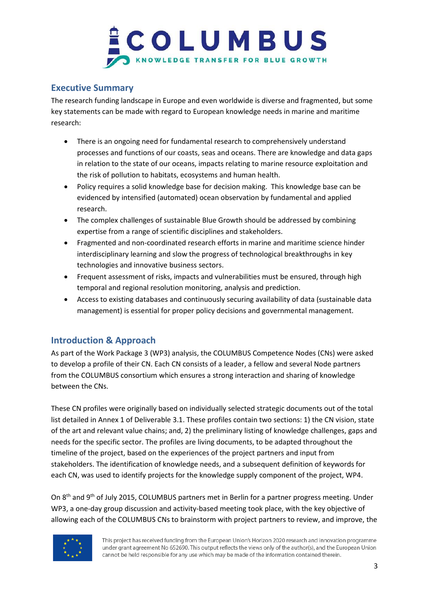### <span id="page-2-0"></span>**Executive Summary**

The research funding landscape in Europe and even worldwide is diverse and fragmented, but some key statements can be made with regard to European knowledge needs in marine and maritime research:

- There is an ongoing need for fundamental research to comprehensively understand processes and functions of our coasts, seas and oceans. There are knowledge and data gaps in relation to the state of our oceans, impacts relating to marine resource exploitation and the risk of pollution to habitats, ecosystems and human health.
- Policy requires a solid knowledge base for decision making. This knowledge base can be evidenced by intensified (automated) ocean observation by fundamental and applied research.
- The complex challenges of sustainable Blue Growth should be addressed by combining expertise from a range of scientific disciplines and stakeholders.
- Fragmented and non-coordinated research efforts in marine and maritime science hinder interdisciplinary learning and slow the progress of technological breakthroughs in key technologies and innovative business sectors.
- Frequent assessment of risks, impacts and vulnerabilities must be ensured, through high temporal and regional resolution monitoring, analysis and prediction.
- Access to existing databases and continuously securing availability of data (sustainable data management) is essential for proper policy decisions and governmental management.

### <span id="page-2-1"></span>**Introduction & Approach**

As part of the Work Package 3 (WP3) analysis, the COLUMBUS Competence Nodes (CNs) were asked to develop a profile of their CN. Each CN consists of a leader, a fellow and several Node partners from the COLUMBUS consortium which ensures a strong interaction and sharing of knowledge between the CNs.

These CN profiles were originally based on individually selected strategic documents out of the total list detailed in Annex 1 of Deliverable 3.1. These profiles contain two sections: 1) the CN vision, state of the art and relevant value chains; and, 2) the preliminary listing of knowledge challenges, gaps and needs for the specific sector. The profiles are living documents, to be adapted throughout the timeline of the project, based on the experiences of the project partners and input from stakeholders. The identification of knowledge needs, and a subsequent definition of keywords for each CN, was used to identify projects for the knowledge supply component of the project, WP4.

On 8<sup>th</sup> and 9<sup>th</sup> of July 2015, COLUMBUS partners met in Berlin for a partner progress meeting. Under WP3, a one-day group discussion and activity-based meeting took place, with the key objective of allowing each of the COLUMBUS CNs to brainstorm with project partners to review, and improve, the

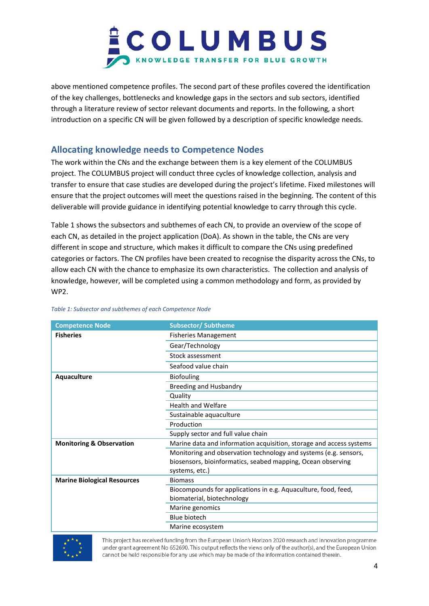above mentioned competence profiles. The second part of these profiles covered the identification of the key challenges, bottlenecks and knowledge gaps in the sectors and sub sectors, identified through a literature review of sector relevant documents and reports. In the following, a short introduction on a specific CN will be given followed by a description of specific knowledge needs.

### <span id="page-3-0"></span>**Allocating knowledge needs to Competence Nodes**

The work within the CNs and the exchange between them is a key element of the COLUMBUS project. The COLUMBUS project will conduct three cycles of knowledge collection, analysis and transfer to ensure that case studies are developed during the project's lifetime. Fixed milestones will ensure that the project outcomes will meet the questions raised in the beginning. The content of this deliverable will provide guidance in identifying potential knowledge to carry through this cycle.

Table 1 shows the subsectors and subthemes of each CN, to provide an overview of the scope of each CN, as detailed in the project application (DoA). As shown in the table, the CNs are very different in scope and structure, which makes it difficult to compare the CNs using predefined categories or factors. The CN profiles have been created to recognise the disparity across the CNs, to allow each CN with the chance to emphasize its own characteristics. The collection and analysis of knowledge, however, will be completed using a common methodology and form, as provided by WP2.

| <b>Competence Node</b>              | <b>Subsector/Subtheme</b>                                                                                                                         |
|-------------------------------------|---------------------------------------------------------------------------------------------------------------------------------------------------|
| <b>Fisheries</b>                    | <b>Fisheries Management</b>                                                                                                                       |
|                                     | Gear/Technology                                                                                                                                   |
|                                     | Stock assessment                                                                                                                                  |
|                                     | Seafood value chain                                                                                                                               |
| Aquaculture                         | <b>Biofouling</b>                                                                                                                                 |
|                                     | <b>Breeding and Husbandry</b>                                                                                                                     |
|                                     | Quality                                                                                                                                           |
|                                     | <b>Health and Welfare</b>                                                                                                                         |
|                                     | Sustainable aquaculture                                                                                                                           |
|                                     | Production                                                                                                                                        |
|                                     | Supply sector and full value chain                                                                                                                |
| <b>Monitoring &amp; Observation</b> | Marine data and information acquisition, storage and access systems                                                                               |
|                                     | Monitoring and observation technology and systems (e.g. sensors,<br>biosensors, bioinformatics, seabed mapping, Ocean observing<br>systems, etc.) |
| <b>Marine Biological Resources</b>  | <b>Biomass</b>                                                                                                                                    |
|                                     | Biocompounds for applications in e.g. Aquaculture, food, feed,                                                                                    |
|                                     | biomaterial, biotechnology                                                                                                                        |
|                                     | Marine genomics                                                                                                                                   |
|                                     | <b>Blue biotech</b>                                                                                                                               |
|                                     | Marine ecosystem                                                                                                                                  |

#### *Table 1: Subsector and subthemes of each Competence Node*

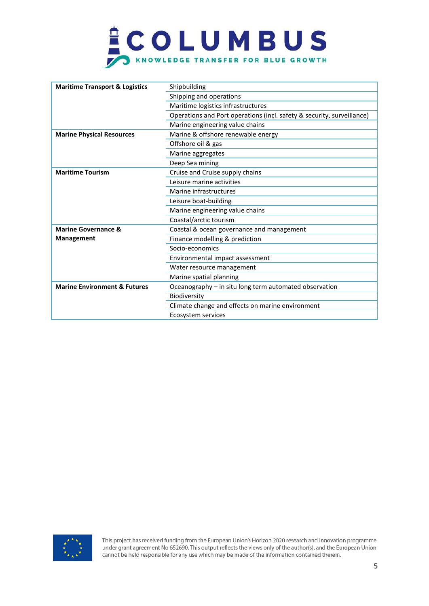# **COLUMBUS**

| <b>Maritime Transport &amp; Logistics</b> | Shipbuilding                                                           |
|-------------------------------------------|------------------------------------------------------------------------|
|                                           | Shipping and operations                                                |
|                                           | Maritime logistics infrastructures                                     |
|                                           | Operations and Port operations (incl. safety & security, surveillance) |
|                                           | Marine engineering value chains                                        |
| <b>Marine Physical Resources</b>          | Marine & offshore renewable energy                                     |
|                                           | Offshore oil & gas                                                     |
|                                           | Marine aggregates                                                      |
|                                           | Deep Sea mining                                                        |
| <b>Maritime Tourism</b>                   | Cruise and Cruise supply chains                                        |
|                                           | Leisure marine activities                                              |
|                                           | Marine infrastructures                                                 |
|                                           | Leisure boat-building                                                  |
|                                           | Marine engineering value chains                                        |
|                                           | Coastal/arctic tourism                                                 |
| <b>Marine Governance &amp;</b>            | Coastal & ocean governance and management                              |
| <b>Management</b>                         | Finance modelling & prediction                                         |
|                                           | Socio-economics                                                        |
|                                           | Environmental impact assessment                                        |
|                                           | Water resource management                                              |
|                                           | Marine spatial planning                                                |
| <b>Marine Environment &amp; Futures</b>   | Oceanography – in situ long term automated observation                 |
|                                           | Biodiversity                                                           |
|                                           | Climate change and effects on marine environment                       |
|                                           | Ecosystem services                                                     |

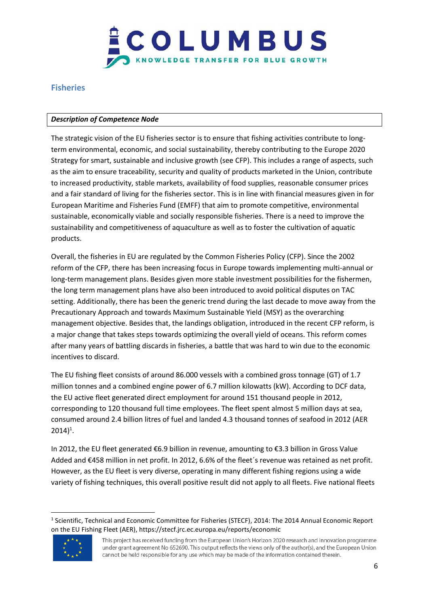

### <span id="page-5-0"></span>**Fisheries**

#### *Description of Competence Node*

The strategic vision of the EU fisheries sector is to ensure that fishing activities contribute to longterm environmental, economic, and social sustainability, thereby contributing to the Europe 2020 Strategy for smart, sustainable and inclusive growth (see CFP). This includes a range of aspects, such as the aim to ensure traceability, security and quality of products marketed in the Union, contribute to increased productivity, stable markets, availability of food supplies, reasonable consumer prices and a fair standard of living for the fisheries sector. This is in line with financial measures given in for European Maritime and Fisheries Fund (EMFF) that aim to promote competitive, environmental sustainable, economically viable and socially responsible fisheries. There is a need to improve the sustainability and competitiveness of aquaculture as well as to foster the cultivation of aquatic products.

Overall, the fisheries in EU are regulated by the Common Fisheries Policy (CFP). Since the 2002 reform of the CFP, there has been increasing focus in Europe towards implementing multi-annual or long-term management plans. Besides given more stable investment possibilities for the fishermen, the long term management plans have also been introduced to avoid political disputes on TAC setting. Additionally, there has been the generic trend during the last decade to move away from the Precautionary Approach and towards Maximum Sustainable Yield (MSY) as the overarching management objective. Besides that, the landings obligation, introduced in the recent CFP reform, is a major change that takes steps towards optimizing the overall yield of oceans. This reform comes after many years of battling discards in fisheries, a battle that was hard to win due to the economic incentives to discard.

The EU fishing fleet consists of around 86.000 vessels with a combined gross tonnage (GT) of 1.7 million tonnes and a combined engine power of 6.7 million kilowatts (kW). According to DCF data, the EU active fleet generated direct employment for around 151 thousand people in 2012, corresponding to 120 thousand full time employees. The fleet spent almost 5 million days at sea, consumed around 2.4 billion litres of fuel and landed 4.3 thousand tonnes of seafood in 2012 (AER  $2014)^{1}$ .

In 2012, the EU fleet generated €6.9 billion in revenue, amounting to €3.3 billion in Gross Value Added and €458 million in net profit. In 2012, 6.6% of the fleet´s revenue was retained as net profit. However, as the EU fleet is very diverse, operating in many different fishing regions using a wide variety of fishing techniques, this overall positive result did not apply to all fleets. Five national fleets

<sup>&</sup>lt;sup>1</sup> Scientific, Technical and Economic Committee for Fisheries (STECF), 2014: The 2014 Annual Economic Report on the EU Fishing Fleet (AER), https://stecf.jrc.ec.europa.eu/reports/economic



 $\overline{\phantom{a}}$ 

This project has received funding from the European Union's Horizon 2020 research and innovation programme under grant agreement No 652690. This output reflects the views only of the author(s), and the European Union cannot be held responsible for any use which may be made of the information contained therein.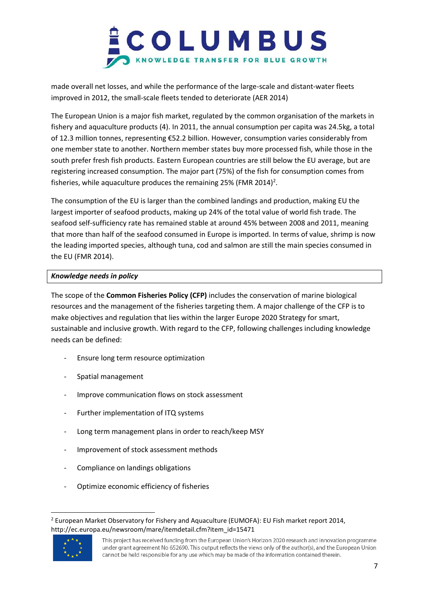

made overall net losses, and while the performance of the large-scale and distant-water fleets improved in 2012, the small-scale fleets tended to deteriorate (AER 2014)

The European Union is a major fish market, regulated by the common organisation of the markets in fishery and aquaculture products (4). In 2011, the annual consumption per capita was 24.5kg, a total of 12.3 million tonnes, representing €52.2 billion. However, consumption varies considerably from one member state to another. Northern member states buy more processed fish, while those in the south prefer fresh fish products. Eastern European countries are still below the EU average, but are registering increased consumption. The major part (75%) of the fish for consumption comes from fisheries, while aquaculture produces the remaining 25% (FMR 2014)<sup>2</sup>.

The consumption of the EU is larger than the combined landings and production, making EU the largest importer of seafood products, making up 24% of the total value of world fish trade. The seafood self-sufficiency rate has remained stable at around 45% between 2008 and 2011, meaning that more than half of the seafood consumed in Europe is imported. In terms of value, shrimp is now the leading imported species, although tuna, cod and salmon are still the main species consumed in the EU (FMR 2014).

#### *Knowledge needs in policy*

The scope of the **Common Fisheries Policy (CFP)** includes the conservation of marine biological resources and the management of the fisheries targeting them. A major challenge of the CFP is to make objectives and regulation that lies within the larger Europe 2020 Strategy for smart, sustainable and inclusive growth. With regard to the CFP, following challenges including knowledge needs can be defined:

- Ensure long term resource optimization
- Spatial management
- Improve communication flows on stock assessment
- Further implementation of ITQ systems
- Long term management plans in order to reach/keep MSY
- Improvement of stock assessment methods
- Compliance on landings obligations
- Optimize economic efficiency of fisheries

<sup>&</sup>lt;sup>2</sup> European Market Observatory for Fishery and Aquaculture (EUMOFA): EU Fish market report 2014, http://ec.europa.eu/newsroom/mare/itemdetail.cfm?item\_id=15471



 $\overline{\phantom{a}}$ 

This project has received funding from the European Union's Horizon 2020 research and innovation programme under grant agreement No 652690. This output reflects the views only of the author(s), and the European Union cannot be held responsible for any use which may be made of the information contained therein.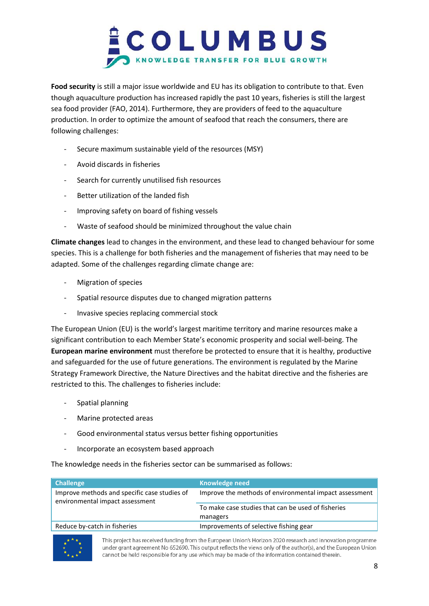

**Food security** is still a major issue worldwide and EU has its obligation to contribute to that. Even though aquaculture production has increased rapidly the past 10 years, fisheries is still the largest sea food provider (FAO, 2014). Furthermore, they are providers of feed to the aquaculture production. In order to optimize the amount of seafood that reach the consumers, there are following challenges:

- Secure maximum sustainable yield of the resources (MSY)
- Avoid discards in fisheries
- Search for currently unutilised fish resources
- Better utilization of the landed fish
- Improving safety on board of fishing vessels
- Waste of seafood should be minimized throughout the value chain

**Climate changes** lead to changes in the environment, and these lead to changed behaviour for some species. This is a challenge for both fisheries and the management of fisheries that may need to be adapted. Some of the challenges regarding climate change are:

- Migration of species
- Spatial resource disputes due to changed migration patterns
- Invasive species replacing commercial stock

The European Union (EU) is the world's largest maritime territory and marine resources make a significant contribution to each Member State's economic prosperity and social well-being. The **European marine environment** must therefore be protected to ensure that it is healthy, productive and safeguarded for the use of future generations. The environment is regulated by the Marine Strategy Framework Directive, the Nature Directives and the habitat directive and the fisheries are restricted to this. The challenges to fisheries include:

- Spatial planning
- Marine protected areas
- Good environmental status versus better fishing opportunities
- Incorporate an ecosystem based approach

The knowledge needs in the fisheries sector can be summarised as follows:

| <b>Challenge</b>                                                                | Knowledge need                                         |
|---------------------------------------------------------------------------------|--------------------------------------------------------|
| Improve methods and specific case studies of<br>environmental impact assessment | Improve the methods of environmental impact assessment |
|                                                                                 | To make case studies that can be used of fisheries     |
|                                                                                 | managers                                               |
| Reduce by-catch in fisheries                                                    | Improvements of selective fishing gear                 |

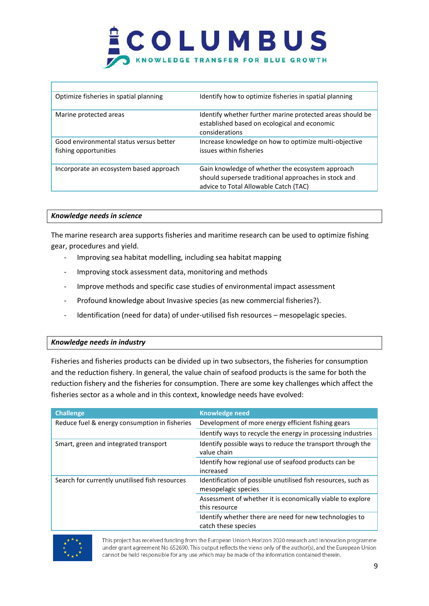| Optimize fisheries in spatial planning                           | Identify how to optimize fisheries in spatial planning                                                                                            |
|------------------------------------------------------------------|---------------------------------------------------------------------------------------------------------------------------------------------------|
| Marine protected areas                                           | Identify whether further marine protected areas should be<br>established based on ecological and economic<br>considerations                       |
| Good environmental status versus better<br>fishing opportunities | Increase knowledge on how to optimize multi-objective<br>issues within fisheries                                                                  |
| Incorporate an ecosystem based approach                          | Gain knowledge of whether the ecosystem approach<br>should supersede traditional approaches in stock and<br>advice to Total Allowable Catch (TAC) |

#### *Knowledge needs in science*

The marine research area supports fisheries and maritime research can be used to optimize fishing gear, procedures and yield.

- Improving sea habitat modelling, including sea habitat mapping
- Improving stock assessment data, monitoring and methods
- Improve methods and specific case studies of environmental impact assessment
- Profound knowledge about Invasive species (as new commercial fisheries?).
- Identification (need for data) of under-utilised fish resources mesopelagic species.

#### *Knowledge needs in industry*

Fisheries and fisheries products can be divided up in two subsectors, the fisheries for consumption and the reduction fishery. In general, the value chain of seafood products is the same for both the reduction fishery and the fisheries for consumption. There are some key challenges which affect the fisheries sector as a whole and in this context, knowledge needs have evolved:

| <b>Challenge</b>                               | <b>Knowledge need</b>                                                                |
|------------------------------------------------|--------------------------------------------------------------------------------------|
| Reduce fuel & energy consumption in fisheries  | Development of more energy efficient fishing gears                                   |
|                                                | Identify ways to recycle the energy in processing industries                         |
| Smart, green and integrated transport          | Identify possible ways to reduce the transport through the<br>value chain            |
|                                                | Identify how regional use of seafood products can be<br>increased                    |
| Search for currently unutilised fish resources | Identification of possible unutilised fish resources, such as<br>mesopelagic species |
|                                                | Assessment of whether it is economically viable to explore<br>this resource          |
|                                                | Identify whether there are need for new technologies to<br>catch these species       |

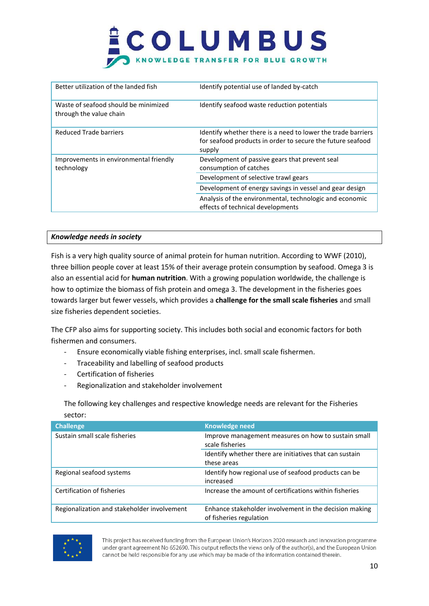| Better utilization of the landed fish                           | Identify potential use of landed by-catch                                                                                            |
|-----------------------------------------------------------------|--------------------------------------------------------------------------------------------------------------------------------------|
| Waste of seafood should be minimized<br>through the value chain | Identify seafood waste reduction potentials                                                                                          |
| Reduced Trade barriers                                          | Identify whether there is a need to lower the trade barriers<br>for seafood products in order to secure the future seafood<br>supply |
| Improvements in environmental friendly<br>technology            | Development of passive gears that prevent seal<br>consumption of catches<br>Development of selective trawl gears                     |
|                                                                 | Development of energy savings in vessel and gear design                                                                              |
|                                                                 | Analysis of the environmental, technologic and economic<br>effects of technical developments                                         |

#### *Knowledge needs in society*

Fish is a very high quality source of animal protein for human nutrition. According to WWF (2010), three billion people cover at least 15% of their average protein consumption by seafood. Omega 3 is also an essential acid for **human nutrition**. With a growing population worldwide, the challenge is how to optimize the biomass of fish protein and omega 3. The development in the fisheries goes towards larger but fewer vessels, which provides a **challenge for the small scale fisheries** and small size fisheries dependent societies.

The CFP also aims for supporting society. This includes both social and economic factors for both fishermen and consumers.

- Ensure economically viable fishing enterprises, incl. small scale fishermen.
- Traceability and labelling of seafood products
- Certification of fisheries
- Regionalization and stakeholder involvement

The following key challenges and respective knowledge needs are relevant for the Fisheries sector:

| <b>Challenge</b>                            | <b>Knowledge need</b>                                                             |
|---------------------------------------------|-----------------------------------------------------------------------------------|
| Sustain small scale fisheries               | Improve management measures on how to sustain small<br>scale fisheries            |
|                                             | Identify whether there are initiatives that can sustain<br>these areas            |
| Regional seafood systems                    | Identify how regional use of seafood products can be<br>increased                 |
| Certification of fisheries                  | Increase the amount of certifications within fisheries                            |
| Regionalization and stakeholder involvement | Enhance stakeholder involvement in the decision making<br>of fisheries regulation |

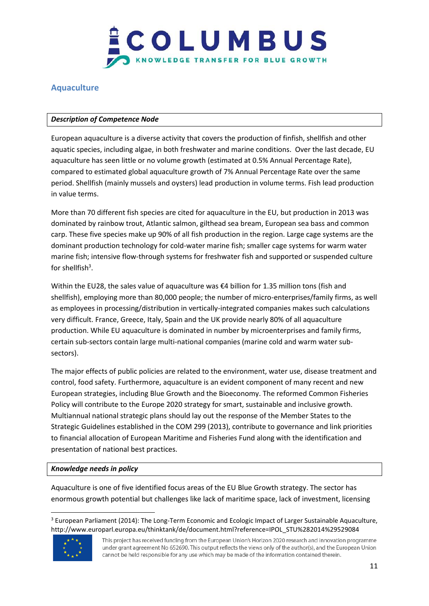

### <span id="page-10-0"></span>**Aquaculture**

#### *Description of Competence Node*

European aquaculture is a diverse activity that covers the production of finfish, shellfish and other aquatic species, including algae, in both freshwater and marine conditions. Over the last decade, EU aquaculture has seen little or no volume growth (estimated at 0.5% Annual Percentage Rate), compared to estimated global aquaculture growth of 7% Annual Percentage Rate over the same period. Shellfish (mainly mussels and oysters) lead production in volume terms. Fish lead production in value terms.

More than 70 different fish species are cited for aquaculture in the EU, but production in 2013 was dominated by rainbow trout, Atlantic salmon, gilthead sea bream, European sea bass and common carp. These five species make up 90% of all fish production in the region. Large cage systems are the dominant production technology for cold-water marine fish; smaller cage systems for warm water marine fish; intensive flow-through systems for freshwater fish and supported or suspended culture for shellfish $3$ .

Within the EU28, the sales value of aquaculture was €4 billion for 1.35 million tons (fish and shellfish), employing more than 80,000 people; the number of micro-enterprises/family firms, as well as employees in processing/distribution in vertically-integrated companies makes such calculations very difficult. France, Greece, Italy, Spain and the UK provide nearly 80% of all aquaculture production. While EU aquaculture is dominated in number by microenterprises and family firms, certain sub-sectors contain large multi-national companies (marine cold and warm water subsectors).

The major effects of public policies are related to the environment, water use, disease treatment and control, food safety. Furthermore, aquaculture is an evident component of many recent and new European strategies, including Blue Growth and the Bioeconomy. The reformed Common Fisheries Policy will contribute to the Europe 2020 strategy for smart, sustainable and inclusive growth. Multiannual national strategic plans should lay out the response of the Member States to the Strategic Guidelines established in the COM 299 (2013), contribute to governance and link priorities to financial allocation of European Maritime and Fisheries Fund along with the identification and presentation of national best practices.

#### *Knowledge needs in policy*

Aquaculture is one of five identified focus areas of the EU Blue Growth strategy. The sector has enormous growth potential but challenges like lack of maritime space, lack of investment, licensing

<sup>&</sup>lt;sup>3</sup> European Parliament (2014): The Long-Term Economic and Ecologic Impact of Larger Sustainable Aquaculture, http://www.europarl.europa.eu/thinktank/de/document.html?reference=IPOL\_STU%282014%29529084



 $\overline{\phantom{a}}$ 

This project has received funding from the European Union's Horizon 2020 research and innovation programme under grant agreement No 652690. This output reflects the views only of the author(s), and the European Union cannot be held responsible for any use which may be made of the information contained therein.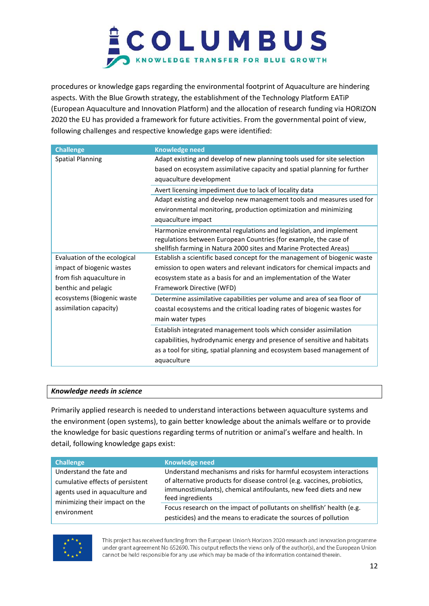

procedures or knowledge gaps regarding the environmental footprint of Aquaculture are hindering aspects. With the Blue Growth strategy, the establishment of the Technology Platform EATiP (European Aquaculture and Innovation Platform) and the allocation of research funding via HORIZON 2020 the EU has provided a framework for future activities. From the governmental point of view, following challenges and respective knowledge gaps were identified:

| <b>Challenge</b>             | <b>Knowledge need</b>                                                     |
|------------------------------|---------------------------------------------------------------------------|
| <b>Spatial Planning</b>      | Adapt existing and develop of new planning tools used for site selection  |
|                              | based on ecosystem assimilative capacity and spatial planning for further |
|                              | aquaculture development                                                   |
|                              | Avert licensing impediment due to lack of locality data                   |
|                              | Adapt existing and develop new management tools and measures used for     |
|                              | environmental monitoring, production optimization and minimizing          |
|                              | aquaculture impact                                                        |
|                              | Harmonize environmental regulations and legislation, and implement        |
|                              | regulations between European Countries (for example, the case of          |
|                              | shellfish farming in Natura 2000 sites and Marine Protected Areas)        |
| Evaluation of the ecological | Establish a scientific based concept for the management of biogenic waste |
| impact of biogenic wastes    | emission to open waters and relevant indicators for chemical impacts and  |
| from fish aquaculture in     | ecosystem state as a basis for and an implementation of the Water         |
| benthic and pelagic          | Framework Directive (WFD)                                                 |
| ecosystems (Biogenic waste   | Determine assimilative capabilities per volume and area of sea floor of   |
| assimilation capacity)       | coastal ecosystems and the critical loading rates of biogenic wastes for  |
|                              | main water types                                                          |
|                              | Establish integrated management tools which consider assimilation         |
|                              | capabilities, hydrodynamic energy and presence of sensitive and habitats  |
|                              | as a tool for siting, spatial planning and ecosystem based management of  |
|                              | aquaculture                                                               |
|                              |                                                                           |

#### *Knowledge needs in science*

Primarily applied research is needed to understand interactions between aquaculture systems and the environment (open systems), to gain better knowledge about the animals welfare or to provide the knowledge for basic questions regarding terms of nutrition or animal's welfare and health. In detail, following knowledge gaps exist:

| <b>Challenge</b>                 | <b>Knowledge need</b>                                                   |
|----------------------------------|-------------------------------------------------------------------------|
| Understand the fate and          | Understand mechanisms and risks for harmful ecosystem interactions      |
| cumulative effects of persistent | of alternative products for disease control (e.g. vaccines, probiotics, |
| agents used in aquaculture and   | immunostimulants), chemical antifoulants, new feed diets and new        |
| minimizing their impact on the   | feed ingredients                                                        |
| environment                      | Focus research on the impact of pollutants on shellfish' health (e.g.   |
|                                  | pesticides) and the means to eradicate the sources of pollution         |

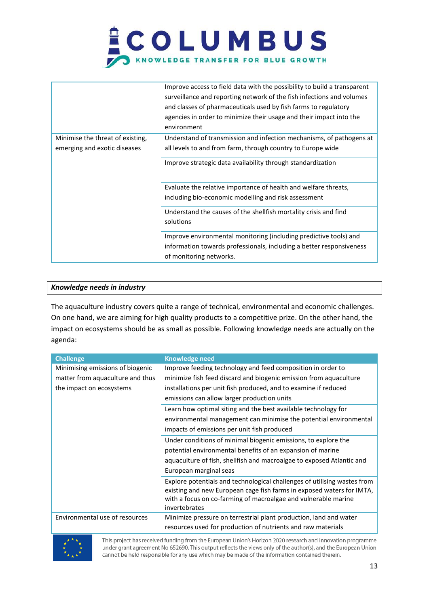|                                                                  | Improve access to field data with the possibility to build a transparent<br>surveillance and reporting network of the fish infections and volumes<br>and classes of pharmaceuticals used by fish farms to regulatory<br>agencies in order to minimize their usage and their impact into the<br>environment |
|------------------------------------------------------------------|------------------------------------------------------------------------------------------------------------------------------------------------------------------------------------------------------------------------------------------------------------------------------------------------------------|
| Minimise the threat of existing,<br>emerging and exotic diseases | Understand of transmission and infection mechanisms, of pathogens at<br>all levels to and from farm, through country to Europe wide<br>Improve strategic data availability through standardization                                                                                                         |
|                                                                  | Evaluate the relative importance of health and welfare threats,<br>including bio-economic modelling and risk assessment<br>Understand the causes of the shellfish mortality crisis and find<br>solutions                                                                                                   |
|                                                                  | Improve environmental monitoring (including predictive tools) and<br>information towards professionals, including a better responsiveness<br>of monitoring networks.                                                                                                                                       |

#### *Knowledge needs in industry*

The aquaculture industry covers quite a range of technical, environmental and economic challenges. On one hand, we are aiming for high quality products to a competitive prize. On the other hand, the impact on ecosystems should be as small as possible. Following knowledge needs are actually on the agenda:

| <b>Challenge</b>                 | <b>Knowledge need</b>                                                                                                                                                                                                                |
|----------------------------------|--------------------------------------------------------------------------------------------------------------------------------------------------------------------------------------------------------------------------------------|
| Minimising emissions of biogenic | Improve feeding technology and feed composition in order to                                                                                                                                                                          |
| matter from aquaculture and thus | minimize fish feed discard and biogenic emission from aquaculture                                                                                                                                                                    |
| the impact on ecosystems         | installations per unit fish produced, and to examine if reduced                                                                                                                                                                      |
|                                  | emissions can allow larger production units                                                                                                                                                                                          |
|                                  | Learn how optimal siting and the best available technology for                                                                                                                                                                       |
|                                  | environmental management can minimise the potential environmental                                                                                                                                                                    |
|                                  | impacts of emissions per unit fish produced                                                                                                                                                                                          |
|                                  | Under conditions of minimal biogenic emissions, to explore the                                                                                                                                                                       |
|                                  | potential environmental benefits of an expansion of marine                                                                                                                                                                           |
|                                  | aquaculture of fish, shellfish and macroalgae to exposed Atlantic and                                                                                                                                                                |
|                                  | European marginal seas                                                                                                                                                                                                               |
|                                  | Explore potentials and technological challenges of utilising wastes from<br>existing and new European cage fish farms in exposed waters for IMTA,<br>with a focus on co-farming of macroalgae and vulnerable marine<br>invertebrates |
| Environmental use of resources   | Minimize pressure on terrestrial plant production, land and water                                                                                                                                                                    |
|                                  | resources used for production of nutrients and raw materials                                                                                                                                                                         |

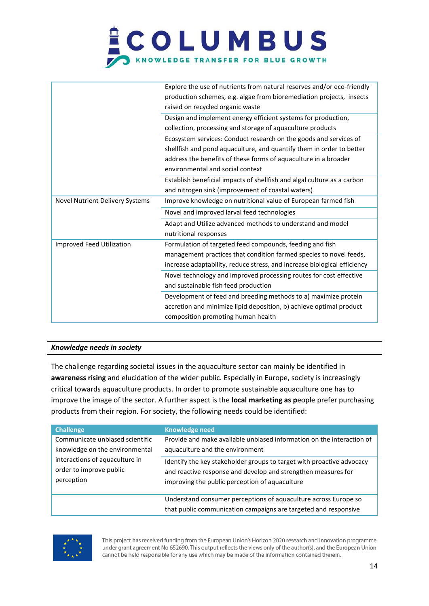| Explore the use of nutrients from natural reserves and/or eco-friendly<br>production schemes, e.g. algae from bioremediation projects, insects<br>raised on recycled organic waste<br>Design and implement energy efficient systems for production,<br>collection, processing and storage of aquaculture products<br>Ecosystem services: Conduct research on the goods and services of<br>shellfish and pond aquaculture, and quantify them in order to better<br>address the benefits of these forms of aquaculture in a broader<br>environmental and social context<br>Establish beneficial impacts of shellfish and algal culture as a carbon<br>and nitrogen sink (improvement of coastal waters)<br>Improve knowledge on nutritional value of European farmed fish<br>Novel Nutrient Delivery Systems<br>Novel and improved larval feed technologies<br>Adapt and Utilize advanced methods to understand and model<br>nutritional responses<br>Formulation of targeted feed compounds, feeding and fish<br>Improved Feed Utilization<br>management practices that condition farmed species to novel feeds, |
|-----------------------------------------------------------------------------------------------------------------------------------------------------------------------------------------------------------------------------------------------------------------------------------------------------------------------------------------------------------------------------------------------------------------------------------------------------------------------------------------------------------------------------------------------------------------------------------------------------------------------------------------------------------------------------------------------------------------------------------------------------------------------------------------------------------------------------------------------------------------------------------------------------------------------------------------------------------------------------------------------------------------------------------------------------------------------------------------------------------------|
|                                                                                                                                                                                                                                                                                                                                                                                                                                                                                                                                                                                                                                                                                                                                                                                                                                                                                                                                                                                                                                                                                                                 |
|                                                                                                                                                                                                                                                                                                                                                                                                                                                                                                                                                                                                                                                                                                                                                                                                                                                                                                                                                                                                                                                                                                                 |
|                                                                                                                                                                                                                                                                                                                                                                                                                                                                                                                                                                                                                                                                                                                                                                                                                                                                                                                                                                                                                                                                                                                 |
|                                                                                                                                                                                                                                                                                                                                                                                                                                                                                                                                                                                                                                                                                                                                                                                                                                                                                                                                                                                                                                                                                                                 |
|                                                                                                                                                                                                                                                                                                                                                                                                                                                                                                                                                                                                                                                                                                                                                                                                                                                                                                                                                                                                                                                                                                                 |
|                                                                                                                                                                                                                                                                                                                                                                                                                                                                                                                                                                                                                                                                                                                                                                                                                                                                                                                                                                                                                                                                                                                 |
|                                                                                                                                                                                                                                                                                                                                                                                                                                                                                                                                                                                                                                                                                                                                                                                                                                                                                                                                                                                                                                                                                                                 |
|                                                                                                                                                                                                                                                                                                                                                                                                                                                                                                                                                                                                                                                                                                                                                                                                                                                                                                                                                                                                                                                                                                                 |
|                                                                                                                                                                                                                                                                                                                                                                                                                                                                                                                                                                                                                                                                                                                                                                                                                                                                                                                                                                                                                                                                                                                 |
|                                                                                                                                                                                                                                                                                                                                                                                                                                                                                                                                                                                                                                                                                                                                                                                                                                                                                                                                                                                                                                                                                                                 |
|                                                                                                                                                                                                                                                                                                                                                                                                                                                                                                                                                                                                                                                                                                                                                                                                                                                                                                                                                                                                                                                                                                                 |
|                                                                                                                                                                                                                                                                                                                                                                                                                                                                                                                                                                                                                                                                                                                                                                                                                                                                                                                                                                                                                                                                                                                 |
|                                                                                                                                                                                                                                                                                                                                                                                                                                                                                                                                                                                                                                                                                                                                                                                                                                                                                                                                                                                                                                                                                                                 |
|                                                                                                                                                                                                                                                                                                                                                                                                                                                                                                                                                                                                                                                                                                                                                                                                                                                                                                                                                                                                                                                                                                                 |
|                                                                                                                                                                                                                                                                                                                                                                                                                                                                                                                                                                                                                                                                                                                                                                                                                                                                                                                                                                                                                                                                                                                 |
|                                                                                                                                                                                                                                                                                                                                                                                                                                                                                                                                                                                                                                                                                                                                                                                                                                                                                                                                                                                                                                                                                                                 |
|                                                                                                                                                                                                                                                                                                                                                                                                                                                                                                                                                                                                                                                                                                                                                                                                                                                                                                                                                                                                                                                                                                                 |
| increase adaptability, reduce stress, and increase biological efficiency                                                                                                                                                                                                                                                                                                                                                                                                                                                                                                                                                                                                                                                                                                                                                                                                                                                                                                                                                                                                                                        |
| Novel technology and improved processing routes for cost effective                                                                                                                                                                                                                                                                                                                                                                                                                                                                                                                                                                                                                                                                                                                                                                                                                                                                                                                                                                                                                                              |
| and sustainable fish feed production                                                                                                                                                                                                                                                                                                                                                                                                                                                                                                                                                                                                                                                                                                                                                                                                                                                                                                                                                                                                                                                                            |
| Development of feed and breeding methods to a) maximize protein                                                                                                                                                                                                                                                                                                                                                                                                                                                                                                                                                                                                                                                                                                                                                                                                                                                                                                                                                                                                                                                 |
| accretion and minimize lipid deposition, b) achieve optimal product                                                                                                                                                                                                                                                                                                                                                                                                                                                                                                                                                                                                                                                                                                                                                                                                                                                                                                                                                                                                                                             |
| composition promoting human health                                                                                                                                                                                                                                                                                                                                                                                                                                                                                                                                                                                                                                                                                                                                                                                                                                                                                                                                                                                                                                                                              |

#### *Knowledge needs in society*

The challenge regarding societal issues in the aquaculture sector can mainly be identified in **awareness rising** and elucidation of the wider public. Especially in Europe, society is increasingly critical towards aquaculture products. In order to promote sustainable aquaculture one has to improve the image of the sector. A further aspect is the **local marketing as p**eople prefer purchasing products from their region. For society, the following needs could be identified:

| <b>Challenge</b>                | <b>Knowledge need</b>                                                                                                              |
|---------------------------------|------------------------------------------------------------------------------------------------------------------------------------|
| Communicate unbiased scientific | Provide and make available unbiased information on the interaction of                                                              |
| knowledge on the environmental  | aquaculture and the environment                                                                                                    |
| interactions of aquaculture in  | Identify the key stakeholder groups to target with proactive advocacy                                                              |
| order to improve public         | and reactive response and develop and strengthen measures for                                                                      |
| perception                      | improving the public perception of aquaculture                                                                                     |
|                                 | Understand consumer perceptions of aquaculture across Europe so<br>that public communication campaigns are targeted and responsive |

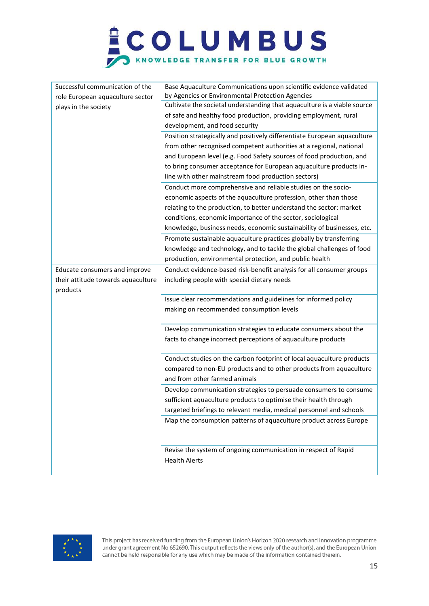

| Successful communication of the    | Base Aquaculture Communications upon scientific evidence validated       |  |  |  |  |
|------------------------------------|--------------------------------------------------------------------------|--|--|--|--|
| role European aquaculture sector   | by Agencies or Environmental Protection Agencies                         |  |  |  |  |
| plays in the society               | Cultivate the societal understanding that aquaculture is a viable source |  |  |  |  |
|                                    | of safe and healthy food production, providing employment, rural         |  |  |  |  |
|                                    | development, and food security                                           |  |  |  |  |
|                                    | Position strategically and positively differentiate European aquaculture |  |  |  |  |
|                                    | from other recognised competent authorities at a regional, national      |  |  |  |  |
|                                    | and European level (e.g. Food Safety sources of food production, and     |  |  |  |  |
|                                    | to bring consumer acceptance for European aquaculture products in-       |  |  |  |  |
|                                    | line with other mainstream food production sectors)                      |  |  |  |  |
|                                    | Conduct more comprehensive and reliable studies on the socio-            |  |  |  |  |
|                                    | economic aspects of the aquaculture profession, other than those         |  |  |  |  |
|                                    | relating to the production, to better understand the sector: market      |  |  |  |  |
|                                    | conditions, economic importance of the sector, sociological              |  |  |  |  |
|                                    | knowledge, business needs, economic sustainability of businesses, etc.   |  |  |  |  |
|                                    | Promote sustainable aquaculture practices globally by transferring       |  |  |  |  |
|                                    | knowledge and technology, and to tackle the global challenges of food    |  |  |  |  |
|                                    | production, environmental protection, and public health                  |  |  |  |  |
| Educate consumers and improve      | Conduct evidence-based risk-benefit analysis for all consumer groups     |  |  |  |  |
| their attitude towards aquaculture | including people with special dietary needs                              |  |  |  |  |
| products                           |                                                                          |  |  |  |  |
|                                    | Issue clear recommendations and guidelines for informed policy           |  |  |  |  |
|                                    | making on recommended consumption levels                                 |  |  |  |  |
|                                    |                                                                          |  |  |  |  |
|                                    | Develop communication strategies to educate consumers about the          |  |  |  |  |
|                                    | facts to change incorrect perceptions of aquaculture products            |  |  |  |  |
|                                    |                                                                          |  |  |  |  |
|                                    | Conduct studies on the carbon footprint of local aquaculture products    |  |  |  |  |
|                                    | compared to non-EU products and to other products from aquaculture       |  |  |  |  |
|                                    | and from other farmed animals                                            |  |  |  |  |
|                                    | Develop communication strategies to persuade consumers to consume        |  |  |  |  |
|                                    | sufficient aquaculture products to optimise their health through         |  |  |  |  |
|                                    | targeted briefings to relevant media, medical personnel and schools      |  |  |  |  |
|                                    | Map the consumption patterns of aquaculture product across Europe        |  |  |  |  |
|                                    |                                                                          |  |  |  |  |
|                                    |                                                                          |  |  |  |  |
|                                    | Revise the system of ongoing communication in respect of Rapid           |  |  |  |  |
|                                    | <b>Health Alerts</b>                                                     |  |  |  |  |
|                                    |                                                                          |  |  |  |  |

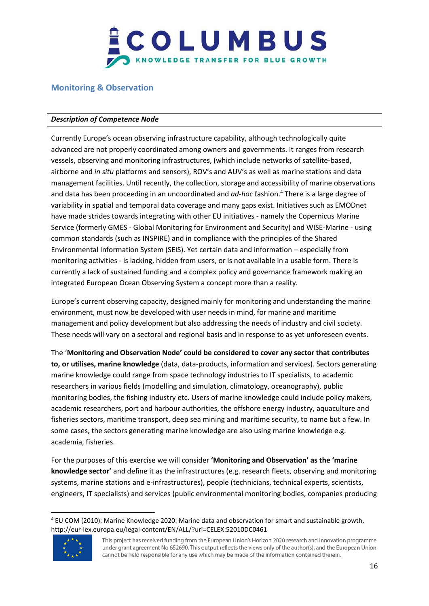

### <span id="page-15-0"></span>**Monitoring & Observation**

#### *Description of Competence Node*

Currently Europe's ocean observing infrastructure capability, although technologically quite advanced are not properly coordinated among owners and governments. It ranges from research vessels, observing and monitoring infrastructures, (which include networks of satellite-based, airborne and *in situ* platforms and sensors), ROV's and AUV's as well as marine stations and data management facilities. Until recently, the collection, storage and accessibility of marine observations and data has been proceeding in an uncoordinated and *ad-hoc* fashion. <sup>4</sup> There is a large degree of variability in spatial and temporal data coverage and many gaps exist. Initiatives such as EMODnet have made strides towards integrating with other EU initiatives - namely the Copernicus Marine Service (formerly GMES - Global Monitoring for Environment and Security) and WISE-Marine - using common standards (such as INSPIRE) and in compliance with the principles of the Shared Environmental Information System (SEIS). Yet certain data and information – especially from monitoring activities - is lacking, hidden from users, or is not available in a usable form. There is currently a lack of sustained funding and a complex policy and governance framework making an integrated European Ocean Observing System a concept more than a reality.

Europe's current observing capacity, designed mainly for monitoring and understanding the marine environment, must now be developed with user needs in mind, for marine and maritime management and policy development but also addressing the needs of industry and civil society. These needs will vary on a sectoral and regional basis and in response to as yet unforeseen events.

The '**Monitoring and Observation Node' could be considered to cover any sector that contributes to, or utilises, marine knowledge** (data, data-products, information and services). Sectors generating marine knowledge could range from space technology industries to IT specialists, to academic researchers in various fields (modelling and simulation, climatology, oceanography), public monitoring bodies, the fishing industry etc. Users of marine knowledge could include policy makers, academic researchers, port and harbour authorities, the offshore energy industry, aquaculture and fisheries sectors, maritime transport, deep sea mining and maritime security, to name but a few. In some cases, the sectors generating marine knowledge are also using marine knowledge e.g. academia, fisheries.

For the purposes of this exercise we will consider **'Monitoring and Observation' as the 'marine knowledge sector'** and define it as the infrastructures (e.g. research fleets, observing and monitoring systems, marine stations and e-infrastructures), people (technicians, technical experts, scientists, engineers, IT specialists) and services (public environmental monitoring bodies, companies producing

<sup>4</sup> EU COM (2010): Marine Knowledge 2020: Marine data and observation for smart and sustainable growth, http://eur-lex.europa.eu/legal-content/EN/ALL/?uri=CELEX:52010DC0461



 $\overline{\phantom{a}}$ 

This project has received funding from the European Union's Horizon 2020 research and innovation programme under grant agreement No 652690. This output reflects the views only of the author(s), and the European Union cannot be held responsible for any use which may be made of the information contained therein.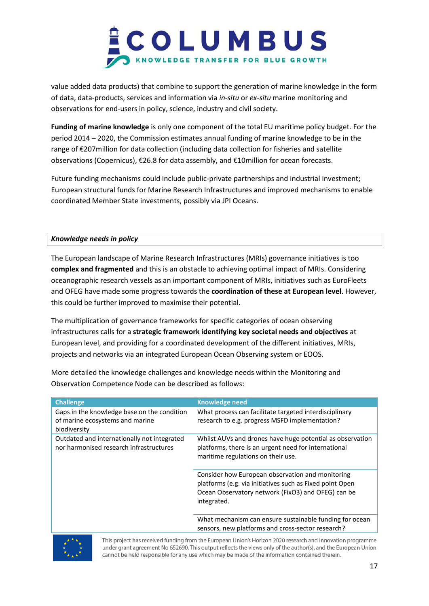

value added data products) that combine to support the generation of marine knowledge in the form of data, data-products, services and information via *in-situ* or *ex-situ* marine monitoring and observations for end-users in policy, science, industry and civil society.

**Funding of marine knowledge** is only one component of the total EU maritime policy budget. For the period 2014 – 2020, the Commission estimates annual funding of marine knowledge to be in the range of €207million for data collection (including data collection for fisheries and satellite observations (Copernicus), €26.8 for data assembly, and €10million for ocean forecasts.

Future funding mechanisms could include public-private partnerships and industrial investment; European structural funds for Marine Research Infrastructures and improved mechanisms to enable coordinated Member State investments, possibly via JPI Oceans.

#### *Knowledge needs in policy*

The European landscape of Marine Research Infrastructures (MRIs) governance initiatives is too **complex and fragmented** and this is an obstacle to achieving optimal impact of MRIs. Considering oceanographic research vessels as an important component of MRIs, initiatives such as EuroFleets and OFEG have made some progress towards the **coordination of these at European level**. However, this could be further improved to maximise their potential.

The multiplication of governance frameworks for specific categories of ocean observing infrastructures calls for a **strategic framework identifying key societal needs and objectives** at European level, and providing for a coordinated development of the different initiatives, MRIs, projects and networks via an integrated European Ocean Observing system or EOOS.

More detailed the knowledge challenges and knowledge needs within the Monitoring and Observation Competence Node can be described as follows:

| <b>Challenge</b>                                                                               | <b>Knowledge need</b>                                                                                                                                                             |  |  |
|------------------------------------------------------------------------------------------------|-----------------------------------------------------------------------------------------------------------------------------------------------------------------------------------|--|--|
| Gaps in the knowledge base on the condition<br>of marine ecosystems and marine<br>biodiversity | What process can facilitate targeted interdisciplinary<br>research to e.g. progress MSFD implementation?                                                                          |  |  |
| Outdated and internationally not integrated<br>nor harmonised research infrastructures         | Whilst AUVs and drones have huge potential as observation<br>platforms, there is an urgent need for international<br>maritime regulations on their use.                           |  |  |
|                                                                                                | Consider how European observation and monitoring<br>platforms (e.g. via initiatives such as Fixed point Open<br>Ocean Observatory network (FixO3) and OFEG) can be<br>integrated. |  |  |
|                                                                                                | What mechanism can ensure sustainable funding for ocean<br>sensors, new platforms and cross-sector research?                                                                      |  |  |

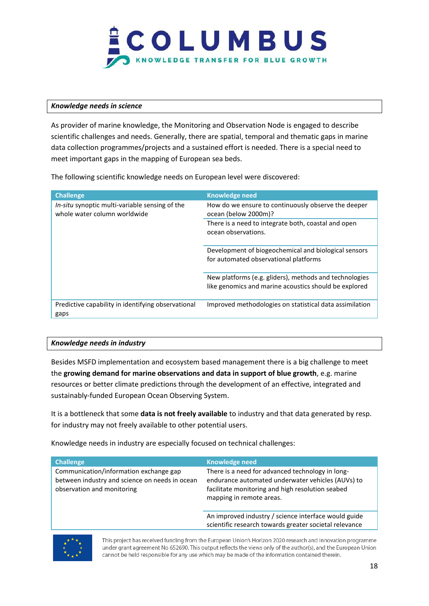

#### *Knowledge needs in science*

As provider of marine knowledge, the Monitoring and Observation Node is engaged to describe scientific challenges and needs. Generally, there are spatial, temporal and thematic gaps in marine data collection programmes/projects and a sustained effort is needed. There is a special need to meet important gaps in the mapping of European sea beds.

The following scientific knowledge needs on European level were discovered:

| <b>Challenge</b>                                                               | <b>Knowledge need</b>                                                                                           |  |  |
|--------------------------------------------------------------------------------|-----------------------------------------------------------------------------------------------------------------|--|--|
| In-situ synoptic multi-variable sensing of the<br>whole water column worldwide | How do we ensure to continuously observe the deeper<br>ocean (below 2000m)?                                     |  |  |
|                                                                                | There is a need to integrate both, coastal and open<br>ocean observations.                                      |  |  |
|                                                                                | Development of biogeochemical and biological sensors<br>for automated observational platforms                   |  |  |
|                                                                                | New platforms (e.g. gliders), methods and technologies<br>like genomics and marine acoustics should be explored |  |  |
| Predictive capability in identifying observational<br>gaps                     | Improved methodologies on statistical data assimilation                                                         |  |  |

#### *Knowledge needs in industry*

Besides MSFD implementation and ecosystem based management there is a big challenge to meet the **growing demand for marine observations and data in support of blue growth**, e.g. marine resources or better climate predictions through the development of an effective, integrated and sustainably-funded European Ocean Observing System.

It is a bottleneck that some **data is not freely available** to industry and that data generated by resp. for industry may not freely available to other potential users.

Knowledge needs in industry are especially focused on technical challenges:

| <b>Challenge</b>                                                                                                       | Knowledge need                                                                                                                                                                        |  |  |
|------------------------------------------------------------------------------------------------------------------------|---------------------------------------------------------------------------------------------------------------------------------------------------------------------------------------|--|--|
| Communication/information exchange gap<br>between industry and science on needs in ocean<br>observation and monitoring | There is a need for advanced technology in long-<br>endurance automated underwater vehicles (AUVs) to<br>facilitate monitoring and high resolution seabed<br>mapping in remote areas. |  |  |
|                                                                                                                        | An improved industry / science interface would guide<br>scientific research towards greater societal relevance                                                                        |  |  |

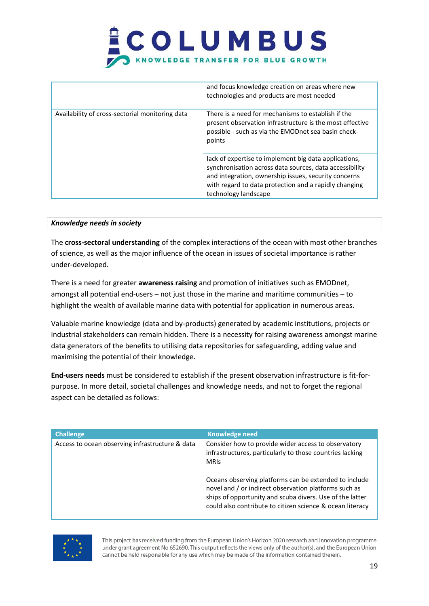|                                                 | and focus knowledge creation on areas where new<br>technologies and products are most needed                                                                                                                                                              |  |  |
|-------------------------------------------------|-----------------------------------------------------------------------------------------------------------------------------------------------------------------------------------------------------------------------------------------------------------|--|--|
| Availability of cross-sectorial monitoring data | There is a need for mechanisms to establish if the<br>present observation infrastructure is the most effective<br>possible - such as via the EMODnet sea basin check-<br>points                                                                           |  |  |
|                                                 | lack of expertise to implement big data applications,<br>synchronisation across data sources, data accessibility<br>and integration, ownership issues, security concerns<br>with regard to data protection and a rapidly changing<br>technology landscape |  |  |

#### *Knowledge needs in society*

The **cross-sectoral understanding** of the complex interactions of the ocean with most other branches of science, as well as the major influence of the ocean in issues of societal importance is rather under-developed.

There is a need for greater **awareness raising** and promotion of initiatives such as EMODnet, amongst all potential end-users – not just those in the marine and maritime communities – to highlight the wealth of available marine data with potential for application in numerous areas.

Valuable marine knowledge (data and by-products) generated by academic institutions, projects or industrial stakeholders can remain hidden. There is a necessity for raising awareness amongst marine data generators of the benefits to utilising data repositories for safeguarding, adding value and maximising the potential of their knowledge.

**End-users needs** must be considered to establish if the present observation infrastructure is fit-forpurpose. In more detail, societal challenges and knowledge needs, and not to forget the regional aspect can be detailed as follows:

| <b>Challenge</b>                                | <b>Knowledge need</b>                                                                                                                                                                                                                   |  |  |
|-------------------------------------------------|-----------------------------------------------------------------------------------------------------------------------------------------------------------------------------------------------------------------------------------------|--|--|
| Access to ocean observing infrastructure & data | Consider how to provide wider access to observatory<br>infrastructures, particularly to those countries lacking<br><b>MRIS</b>                                                                                                          |  |  |
|                                                 | Oceans observing platforms can be extended to include<br>novel and / or indirect observation platforms such as<br>ships of opportunity and scuba divers. Use of the latter<br>could also contribute to citizen science & ocean literacy |  |  |

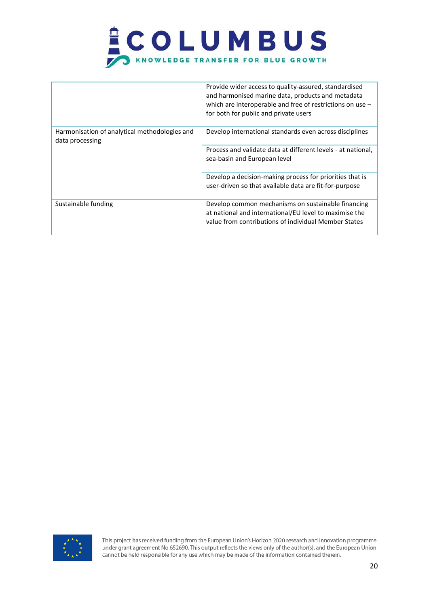

|                                                                  | Provide wider access to quality-assured, standardised<br>and harmonised marine data, products and metadata<br>which are interoperable and free of restrictions on use $-$<br>for both for public and private users |
|------------------------------------------------------------------|--------------------------------------------------------------------------------------------------------------------------------------------------------------------------------------------------------------------|
| Harmonisation of analytical methodologies and<br>data processing | Develop international standards even across disciplines                                                                                                                                                            |
|                                                                  | Process and validate data at different levels - at national.<br>sea-basin and European level                                                                                                                       |
|                                                                  | Develop a decision-making process for priorities that is<br>user-driven so that available data are fit-for-purpose                                                                                                 |
| Sustainable funding                                              | Develop common mechanisms on sustainable financing<br>at national and international/EU level to maximise the<br>value from contributions of individual Member States                                               |

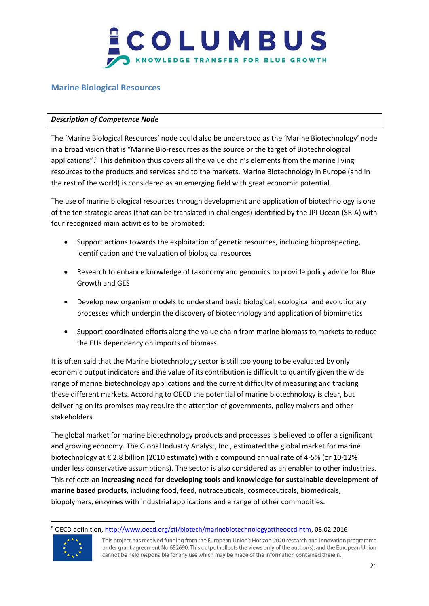

### <span id="page-20-0"></span>**Marine Biological Resources**

#### *Description of Competence Node*

The 'Marine Biological Resources' node could also be understood as the 'Marine Biotechnology' node in a broad vision that is "Marine Bio-resources as the source or the target of Biotechnological applications".<sup>5</sup> This definition thus covers all the value chain's elements from the marine living resources to the products and services and to the markets. Marine Biotechnology in Europe (and in the rest of the world) is considered as an emerging field with great economic potential.

The use of marine biological resources through development and application of biotechnology is one of the ten strategic areas (that can be translated in challenges) identified by the JPI Ocean (SRIA) with four recognized main activities to be promoted:

- Support actions towards the exploitation of genetic resources, including bioprospecting, identification and the valuation of biological resources
- Research to enhance knowledge of taxonomy and genomics to provide policy advice for Blue Growth and GES
- Develop new organism models to understand basic biological, ecological and evolutionary processes which underpin the discovery of biotechnology and application of biomimetics
- Support coordinated efforts along the value chain from marine biomass to markets to reduce the EUs dependency on imports of biomass.

It is often said that the Marine biotechnology sector is still too young to be evaluated by only economic output indicators and the value of its contribution is difficult to quantify given the wide range of marine biotechnology applications and the current difficulty of measuring and tracking these different markets. According to OECD the potential of marine biotechnology is clear, but delivering on its promises may require the attention of governments, policy makers and other stakeholders.

The global market for marine biotechnology products and processes is believed to offer a significant and growing economy. The Global Industry Analyst, Inc., estimated the global market for marine biotechnology at € 2.8 billion (2010 estimate) with a compound annual rate of 4-5% (or 10-12% under less conservative assumptions). The sector is also considered as an enabler to other industries. This reflects an **increasing need for developing tools and knowledge for sustainable development of marine based products**, including food, feed, nutraceuticals, cosmeceuticals, biomedicals, biopolymers, enzymes with industrial applications and a range of other commodities.

<sup>&</sup>lt;sup>5</sup> OECD definition, [http://www.oecd.org/sti/biotech/marinebiotechnologyattheoecd.htm,](http://www.oecd.org/sti/biotech/marinebiotechnologyattheoecd.htm) 08.02.2016



l

This project has received funding from the European Union's Horizon 2020 research and innovation programme under grant agreement No 652690. This output reflects the views only of the author(s), and the European Union cannot be held responsible for any use which may be made of the information contained therein.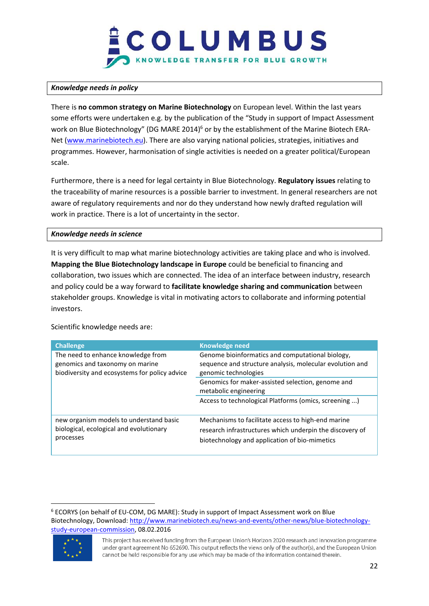

#### *Knowledge needs in policy*

There is **no common strategy on Marine Biotechnology** on European level. Within the last years some efforts were undertaken e.g. by the publication of the "Study in support of Impact Assessment work on Blue Biotechnology" (DG MARE 2014)<sup>6</sup> or by the establishment of the Marine Biotech ERA-Net [\(www.marinebiotech.eu\)](http://www.marinebiotech.eu/). There are also varying national policies, strategies, initiatives and programmes. However, harmonisation of single activities is needed on a greater political/European scale.

Furthermore, there is a need for legal certainty in Blue Biotechnology. **Regulatory issues** relating to the traceability of marine resources is a possible barrier to investment. In general researchers are not aware of regulatory requirements and nor do they understand how newly drafted regulation will work in practice. There is a lot of uncertainty in the sector.

#### *Knowledge needs in science*

It is very difficult to map what marine biotechnology activities are taking place and who is involved. **Mapping the Blue Biotechnology landscape in Europe** could be beneficial to financing and collaboration, two issues which are connected. The idea of an interface between industry, research and policy could be a way forward to **facilitate knowledge sharing and communication** between stakeholder groups. Knowledge is vital in motivating actors to collaborate and informing potential investors.

| <b>Challenge</b>                                                                                                       | <b>Knowledge need</b>                                                                                                                                                                                              |  |  |
|------------------------------------------------------------------------------------------------------------------------|--------------------------------------------------------------------------------------------------------------------------------------------------------------------------------------------------------------------|--|--|
| The need to enhance knowledge from<br>genomics and taxonomy on marine<br>biodiversity and ecosystems for policy advice | Genome bioinformatics and computational biology,<br>sequence and structure analysis, molecular evolution and<br>genomic technologies<br>Genomics for maker-assisted selection, genome and<br>metabolic engineering |  |  |
|                                                                                                                        | Access to technological Platforms (omics, screening )                                                                                                                                                              |  |  |
| new organism models to understand basic<br>biological, ecological and evolutionary<br>processes                        | Mechanisms to facilitate access to high-end marine<br>research infrastructures which underpin the discovery of<br>biotechnology and application of bio-mimetics                                                    |  |  |

Scientific knowledge needs are:

l <sup>6</sup> ECORYS (on behalf of EU-COM, DG MARE): Study in support of Impact Assessment work on Blue Biotechnology, Download: [http://www.marinebiotech.eu/news-and-events/other-news/blue-biotechnology](http://www.marinebiotech.eu/news-and-events/other-news/blue-biotechnology-study-european-commission)[study-european-commission,](http://www.marinebiotech.eu/news-and-events/other-news/blue-biotechnology-study-european-commission) 08.02.2016



This project has received funding from the European Union's Horizon 2020 research and innovation programme under grant agreement No 652690. This output reflects the views only of the author(s), and the European Union cannot be held responsible for any use which may be made of the information contained therein.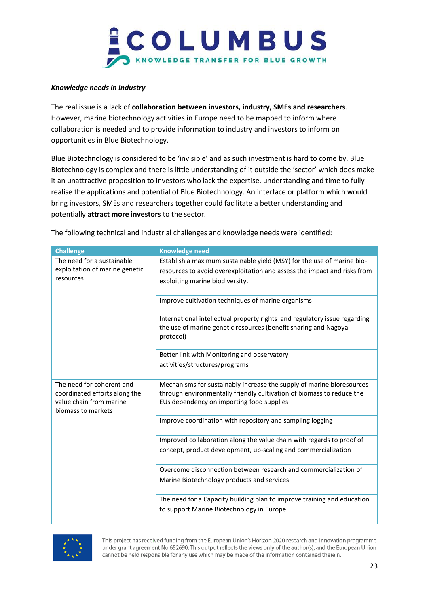

#### *Knowledge needs in industry*

The real issue is a lack of **collaboration between investors, industry, SMEs and researchers**. However, marine biotechnology activities in Europe need to be mapped to inform where collaboration is needed and to provide information to industry and investors to inform on opportunities in Blue Biotechnology.

Blue Biotechnology is considered to be 'invisible' and as such investment is hard to come by. Blue Biotechnology is complex and there is little understanding of it outside the 'sector' which does make it an unattractive proposition to investors who lack the expertise, understanding and time to fully realise the applications and potential of Blue Biotechnology. An interface or platform which would bring investors, SMEs and researchers together could facilitate a better understanding and potentially **attract more investors** to the sector.

|  | The following technical and industrial challenges and knowledge needs were identified: |  |  |  |
|--|----------------------------------------------------------------------------------------|--|--|--|
|  |                                                                                        |  |  |  |
|  |                                                                                        |  |  |  |
|  |                                                                                        |  |  |  |

| <b>Challenge</b>                                                                                            | <b>Knowledge need</b>                                                                                                                                                                       |
|-------------------------------------------------------------------------------------------------------------|---------------------------------------------------------------------------------------------------------------------------------------------------------------------------------------------|
| The need for a sustainable<br>exploitation of marine genetic<br>resources                                   | Establish a maximum sustainable yield (MSY) for the use of marine bio-<br>resources to avoid overexploitation and assess the impact and risks from<br>exploiting marine biodiversity.       |
|                                                                                                             | Improve cultivation techniques of marine organisms                                                                                                                                          |
|                                                                                                             | International intellectual property rights and regulatory issue regarding<br>the use of marine genetic resources (benefit sharing and Nagoya<br>protocol)                                   |
|                                                                                                             | Better link with Monitoring and observatory                                                                                                                                                 |
|                                                                                                             | activities/structures/programs                                                                                                                                                              |
| The need for coherent and<br>coordinated efforts along the<br>value chain from marine<br>biomass to markets | Mechanisms for sustainably increase the supply of marine bioresources<br>through environmentally friendly cultivation of biomass to reduce the<br>EUs dependency on importing food supplies |
|                                                                                                             | Improve coordination with repository and sampling logging                                                                                                                                   |
|                                                                                                             | Improved collaboration along the value chain with regards to proof of                                                                                                                       |
|                                                                                                             | concept, product development, up-scaling and commercialization                                                                                                                              |
|                                                                                                             | Overcome disconnection between research and commercialization of                                                                                                                            |
|                                                                                                             | Marine Biotechnology products and services                                                                                                                                                  |
|                                                                                                             | The need for a Capacity building plan to improve training and education<br>to support Marine Biotechnology in Europe                                                                        |

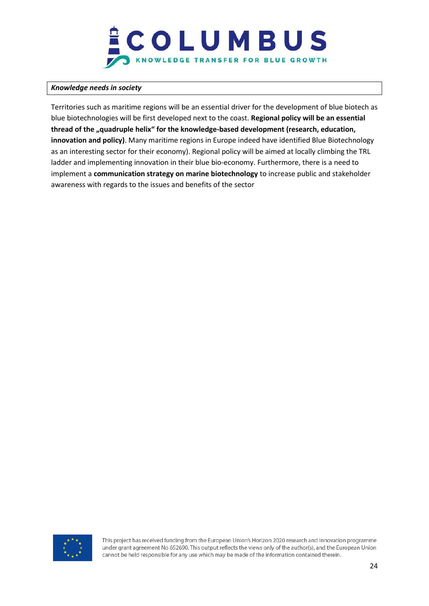

#### *Knowledge needs in society*

Territories such as maritime regions will be an essential driver for the development of blue biotech as blue biotechnologies will be first developed next to the coast. **Regional policy will be an essential thread of the "quadruple helix" for the knowledge-based development (research, education, innovation and policy)**. Many maritime regions in Europe indeed have identified Blue Biotechnology as an interesting sector for their economy). Regional policy will be aimed at locally climbing the TRL ladder and implementing innovation in their blue bio-economy. Furthermore, there is a need to implement a **communication strategy on marine biotechnology** to increase public and stakeholder awareness with regards to the issues and benefits of the sector

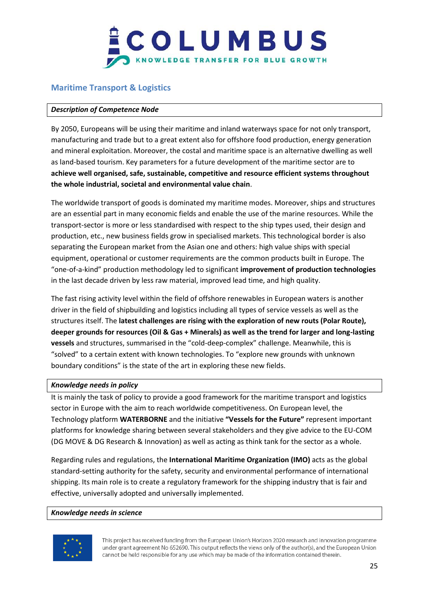### <span id="page-24-0"></span>**Maritime Transport & Logistics**

#### *Description of Competence Node*

By 2050, Europeans will be using their maritime and inland waterways space for not only transport, manufacturing and trade but to a great extent also for offshore food production, energy generation and mineral exploitation. Moreover, the costal and maritime space is an alternative dwelling as well as land-based tourism. Key parameters for a future development of the maritime sector are to **achieve well organised, safe, sustainable, competitive and resource efficient systems throughout the whole industrial, societal and environmental value chain**.

The worldwide transport of goods is dominated my maritime modes. Moreover, ships and structures are an essential part in many economic fields and enable the use of the marine resources. While the transport-sector is more or less standardised with respect to the ship types used, their design and production, etc., new business fields grow in specialised markets. This technological border is also separating the European market from the Asian one and others: high value ships with special equipment, operational or customer requirements are the common products built in Europe. The "one-of-a-kind" production methodology led to significant **improvement of production technologies** in the last decade driven by less raw material, improved lead time, and high quality.

The fast rising activity level within the field of offshore renewables in European waters is another driver in the field of shipbuilding and logistics including all types of service vessels as well as the structures itself. The **latest challenges are rising with the exploration of new routs (Polar Route), deeper grounds for resources (Oil & Gas + Minerals) as well as the trend for larger and long-lasting vessels** and structures, summarised in the "cold-deep-complex" challenge. Meanwhile, this is "solved" to a certain extent with known technologies. To "explore new grounds with unknown boundary conditions" is the state of the art in exploring these new fields.

#### *Knowledge needs in policy*

It is mainly the task of policy to provide a good framework for the maritime transport and logistics sector in Europe with the aim to reach worldwide competitiveness. On European level, the Technology platform **WATERBORNE** and the initiative **"Vessels for the Future"** represent important platforms for knowledge sharing between several stakeholders and they give advice to the EU-COM (DG MOVE & DG Research & Innovation) as well as acting as think tank for the sector as a whole.

Regarding rules and regulations, the **International Maritime Organization (IMO)** acts as the global standard-setting authority for the safety, security and environmental performance of international shipping. Its main role is to create a regulatory framework for the shipping industry that is fair and effective, universally adopted and universally implemented.

#### *Knowledge needs in science*

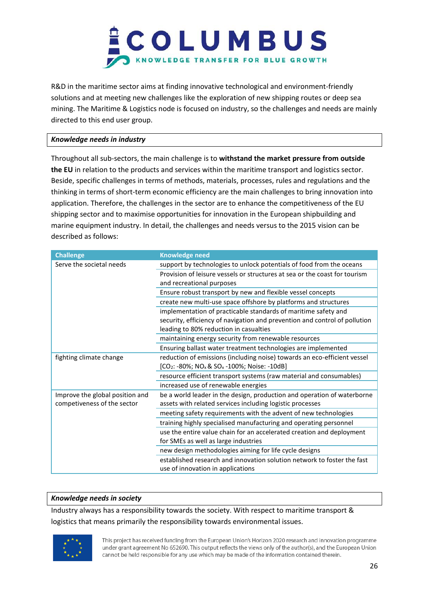

R&D in the maritime sector aims at finding innovative technological and environment-friendly solutions and at meeting new challenges like the exploration of new shipping routes or deep sea mining. The Maritime & Logistics node is focused on industry, so the challenges and needs are mainly directed to this end user group.

#### *Knowledge needs in industry*

Throughout all sub-sectors, the main challenge is to **withstand the market pressure from outside the EU** in relation to the products and services within the maritime transport and logistics sector. Beside, specific challenges in terms of methods, materials, processes, rules and regulations and the thinking in terms of short-term economic efficiency are the main challenges to bring innovation into application. Therefore, the challenges in the sector are to enhance the competitiveness of the EU shipping sector and to maximise opportunities for innovation in the European shipbuilding and marine equipment industry. In detail, the challenges and needs versus to the 2015 vision can be described as follows:

| <b>Challenge</b>                                               | <b>Knowledge need</b>                                                                                                                                                                  |
|----------------------------------------------------------------|----------------------------------------------------------------------------------------------------------------------------------------------------------------------------------------|
| Serve the societal needs                                       | support by technologies to unlock potentials of food from the oceans                                                                                                                   |
|                                                                | Provision of leisure vessels or structures at sea or the coast for tourism                                                                                                             |
|                                                                | and recreational purposes                                                                                                                                                              |
|                                                                | Ensure robust transport by new and flexible vessel concepts                                                                                                                            |
|                                                                | create new multi-use space offshore by platforms and structures                                                                                                                        |
|                                                                | implementation of practicable standards of maritime safety and<br>security, efficiency of navigation and prevention and control of pollution<br>leading to 80% reduction in casualties |
|                                                                | maintaining energy security from renewable resources                                                                                                                                   |
|                                                                | Ensuring ballast water treatment technologies are implemented                                                                                                                          |
| fighting climate change                                        | reduction of emissions (including noise) towards an eco-efficient vessel<br>[CO <sub>2</sub> : -80%; NO <sub>x</sub> & SO <sub>x</sub> -100%; Noise: -10dB]                            |
|                                                                | resource efficient transport systems (raw material and consumables)                                                                                                                    |
|                                                                | increased use of renewable energies                                                                                                                                                    |
| Improve the global position and<br>competiveness of the sector | be a world leader in the design, production and operation of waterborne<br>assets with related services including logistic processes                                                   |
|                                                                | meeting safety requirements with the advent of new technologies                                                                                                                        |
|                                                                | training highly specialised manufacturing and operating personnel                                                                                                                      |
|                                                                | use the entire value chain for an accelerated creation and deployment                                                                                                                  |
|                                                                | for SMEs as well as large industries                                                                                                                                                   |
|                                                                | new design methodologies aiming for life cycle designs                                                                                                                                 |
|                                                                | established research and innovation solution network to foster the fast<br>use of innovation in applications                                                                           |

#### *Knowledge needs in society*

Industry always has a responsibility towards the society. With respect to maritime transport & logistics that means primarily the responsibility towards environmental issues.

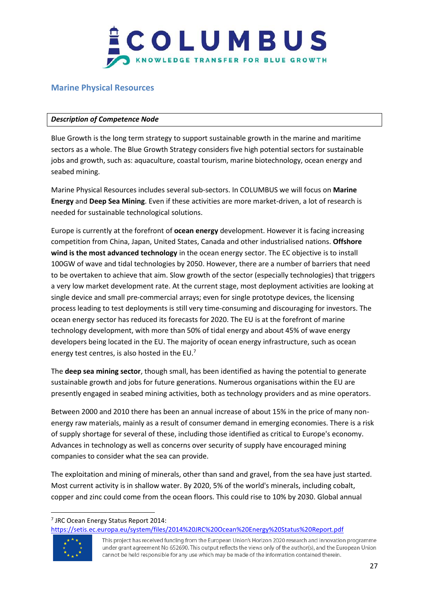

#### <span id="page-26-0"></span>**Marine Physical Resources**

#### *Description of Competence Node*

Blue Growth is the long term strategy to support sustainable growth in the marine and maritime sectors as a whole. The Blue Growth Strategy considers five high potential sectors for sustainable jobs and growth, such as: aquaculture, coastal tourism, marine biotechnology, ocean energy and seabed mining.

Marine Physical Resources includes several sub-sectors. In COLUMBUS we will focus on **Marine Energy** and **Deep Sea Mining**. Even if these activities are more market-driven, a lot of research is needed for sustainable technological solutions.

Europe is currently at the forefront of **ocean energy** development. However it is facing increasing competition from China, Japan, United States, Canada and other industrialised nations. **Offshore wind is the most advanced technology** in the ocean energy sector. The EC objective is to install 100GW of wave and tidal technologies by 2050. However, there are a number of barriers that need to be overtaken to achieve that aim. Slow growth of the sector (especially technologies) that triggers a very low market development rate. At the current stage, most deployment activities are looking at single device and small pre-commercial arrays; even for single prototype devices, the licensing process leading to test deployments is still very time-consuming and discouraging for investors. The ocean energy sector has reduced its forecasts for 2020. The EU is at the forefront of marine technology development, with more than 50% of tidal energy and about 45% of wave energy developers being located in the EU. The majority of ocean energy infrastructure, such as ocean energy test centres, is also hosted in the  $EU^7$ 

The **deep sea mining sector**, though small, has been identified as having the potential to generate sustainable growth and jobs for future generations. Numerous organisations within the EU are presently engaged in seabed mining activities, both as technology providers and as mine operators.

Between 2000 and 2010 there has been an annual increase of about 15% in the price of many nonenergy raw materials, mainly as a result of consumer demand in emerging economies. There is a risk of supply shortage for several of these, including those identified as critical to Europe's economy. Advances in technology as well as concerns over security of supply have encouraged mining companies to consider what the sea can provide.

The exploitation and mining of minerals, other than sand and gravel, from the sea have just started. Most current activity is in shallow water. By 2020, 5% of the world's minerals, including cobalt, copper and zinc could come from the ocean floors. This could rise to 10% by 2030. Global annual

<https://setis.ec.europa.eu/system/files/2014%20JRC%20Ocean%20Energy%20Status%20Report.pdf>



 $\overline{\phantom{a}}$ 

<sup>7</sup> JRC Ocean Energy Status Report 2014:

This project has received funding from the European Union's Horizon 2020 research and innovation programme under grant agreement No 652690. This output reflects the views only of the author(s), and the European Union cannot be held responsible for any use which may be made of the information contained therein.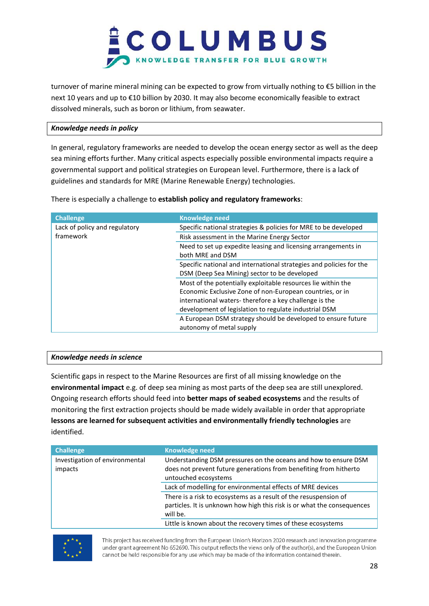

turnover of marine mineral mining can be expected to grow from virtually nothing to €5 billion in the next 10 years and up to €10 billion by 2030. It may also become economically feasible to extract dissolved minerals, such as boron or lithium, from seawater.

#### *Knowledge needs in policy*

In general, regulatory frameworks are needed to develop the ocean energy sector as well as the deep sea mining efforts further. Many critical aspects especially possible environmental impacts require a governmental support and political strategies on European level. Furthermore, there is a lack of guidelines and standards for MRE (Marine Renewable Energy) technologies.

There is especially a challenge to **establish policy and regulatory frameworks**:

| <b>Challenge</b>              | <b>Knowledge need</b>                                                                                                                                                                                                                      |
|-------------------------------|--------------------------------------------------------------------------------------------------------------------------------------------------------------------------------------------------------------------------------------------|
| Lack of policy and regulatory | Specific national strategies & policies for MRE to be developed                                                                                                                                                                            |
| framework                     | Risk assessment in the Marine Energy Sector                                                                                                                                                                                                |
|                               | Need to set up expedite leasing and licensing arrangements in<br>both MRE and DSM                                                                                                                                                          |
|                               | Specific national and international strategies and policies for the<br>DSM (Deep Sea Mining) sector to be developed                                                                                                                        |
|                               | Most of the potentially exploitable resources lie within the<br>Economic Exclusive Zone of non-European countries, or in<br>international waters-therefore a key challenge is the<br>development of legislation to regulate industrial DSM |
|                               | A European DSM strategy should be developed to ensure future<br>autonomy of metal supply                                                                                                                                                   |

#### *Knowledge needs in science*

Scientific gaps in respect to the Marine Resources are first of all missing knowledge on the **environmental impact** e.g. of deep sea mining as most parts of the deep sea are still unexplored. Ongoing research efforts should feed into **better maps of seabed ecosystems** and the results of monitoring the first extraction projects should be made widely available in order that appropriate **lessons are learned for subsequent activities and environmentally friendly technologies** are identified.

| <b>Challenge</b>               | <b>Knowledge need</b>                                                   |
|--------------------------------|-------------------------------------------------------------------------|
| Investigation of environmental | Understanding DSM pressures on the oceans and how to ensure DSM         |
| impacts                        | does not prevent future generations from benefiting from hitherto       |
|                                | untouched ecosystems                                                    |
|                                | Lack of modelling for environmental effects of MRE devices              |
|                                | There is a risk to ecosystems as a result of the resuspension of        |
|                                | particles. It is unknown how high this risk is or what the consequences |
|                                | will be.                                                                |
|                                | Little is known about the recovery times of these ecosystems            |

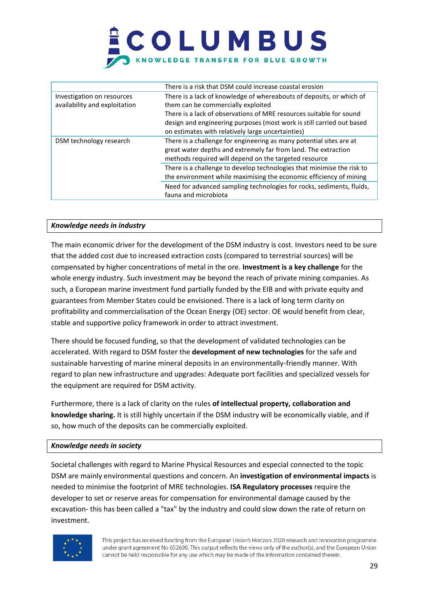|                                                             | There is a risk that DSM could increase coastal erosion                                                                                                                                                                                                                                                         |
|-------------------------------------------------------------|-----------------------------------------------------------------------------------------------------------------------------------------------------------------------------------------------------------------------------------------------------------------------------------------------------------------|
| Investigation on resources<br>availability and exploitation | There is a lack of knowledge of whereabouts of deposits, or which of<br>them can be commercially exploited<br>There is a lack of observations of MRE resources suitable for sound<br>design and engineering purposes (most work is still carried out based<br>on estimates with relatively large uncertainties) |
| DSM technology research                                     | There is a challenge for engineering as many potential sites are at<br>great water depths and extremely far from land. The extraction<br>methods required will depend on the targeted resource                                                                                                                  |
|                                                             | There is a challenge to develop technologies that minimise the risk to<br>the environment while maximising the economic efficiency of mining                                                                                                                                                                    |
|                                                             | Need for advanced sampling technologies for rocks, sediments, fluids,<br>fauna and microbiota                                                                                                                                                                                                                   |

#### *Knowledge needs in industry*

The main economic driver for the development of the DSM industry is cost. Investors need to be sure that the added cost due to increased extraction costs (compared to terrestrial sources) will be compensated by higher concentrations of metal in the ore. **Investment is a key challenge** for the whole energy industry. Such investment may be beyond the reach of private mining companies. As such, a European marine investment fund partially funded by the EIB and with private equity and guarantees from Member States could be envisioned. There is a lack of long term clarity on profitability and commercialisation of the Ocean Energy (OE) sector. OE would benefit from clear, stable and supportive policy framework in order to attract investment.

There should be focused funding, so that the development of validated technologies can be accelerated. With regard to DSM foster the **development of new technologies** for the safe and sustainable harvesting of marine mineral deposits in an environmentally-friendly manner. With regard to plan new infrastructure and upgrades: Adequate port facilities and specialized vessels for the equipment are required for DSM activity.

Furthermore, there is a lack of clarity on the rules **of intellectual property, collaboration and knowledge sharing.** It is still highly uncertain if the DSM industry will be economically viable, and if so, how much of the deposits can be commercially exploited.

#### *Knowledge needs in society*

Societal challenges with regard to Marine Physical Resources and especial connected to the topic DSM are mainly environmental questions and concern. An **investigation of environmental impacts** is needed to minimise the footprint of MRE technologies. **ISA Regulatory processes** require the developer to set or reserve areas for compensation for environmental damage caused by the excavation- this has been called a "tax" by the industry and could slow down the rate of return on investment.

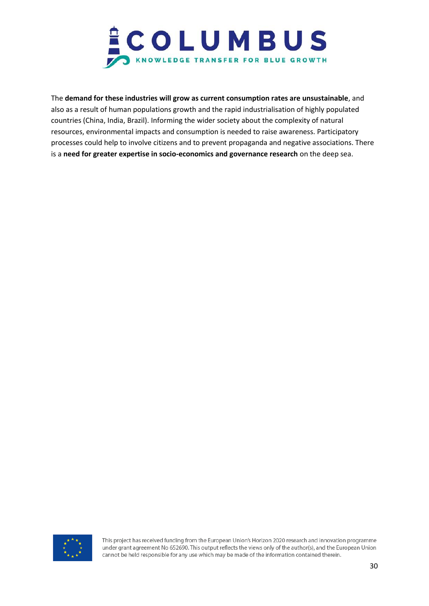

The **demand for these industries will grow as current consumption rates are unsustainable**, and also as a result of human populations growth and the rapid industrialisation of highly populated countries (China, India, Brazil). Informing the wider society about the complexity of natural resources, environmental impacts and consumption is needed to raise awareness. Participatory processes could help to involve citizens and to prevent propaganda and negative associations. There is a **need for greater expertise in socio-economics and governance research** on the deep sea.

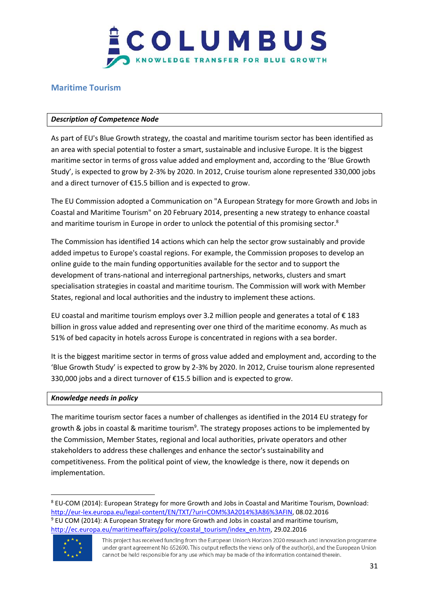

### <span id="page-30-0"></span>**Maritime Tourism**

#### *Description of Competence Node*

As part of EU's Blue Growth strategy, the coastal and maritime tourism sector has been identified as an area with special potential to foster a smart, sustainable and inclusive Europe. It is the biggest maritime sector in terms of gross value added and employment and, according to the 'Blue Growth Study', is expected to grow by 2-3% by 2020. In 2012, Cruise tourism alone represented 330,000 jobs and a direct turnover of €15.5 billion and is expected to grow.

The EU Commission adopted a Communication on "A European Strategy for more Growth and Jobs in Coastal and Maritime Tourism" on 20 February 2014, presenting a new strategy to enhance coastal and maritime tourism in Europe in order to unlock the potential of this promising sector.<sup>8</sup>

The Commission has identified 14 actions which can help the sector grow sustainably and provide added impetus to Europe's coastal regions. For example, the Commission proposes to develop an online guide to the main funding opportunities available for the sector and to support the development of trans-national and interregional partnerships, networks, clusters and smart specialisation strategies in coastal and maritime tourism. The Commission will work with Member States, regional and local authorities and the industry to implement these actions.

EU coastal and maritime tourism employs over 3.2 million people and generates a total of  $\epsilon$  183 billion in gross value added and representing over one third of the maritime economy. As much as 51% of bed capacity in hotels across Europe is concentrated in regions with a sea border.

It is the biggest maritime sector in terms of gross value added and employment and, according to the 'Blue Growth Study' is expected to grow by 2-3% by 2020. In 2012, Cruise tourism alone represented 330,000 jobs and a direct turnover of €15.5 billion and is expected to grow.

#### *Knowledge needs in policy*

The maritime tourism sector faces a number of challenges as identified in the 2014 EU strategy for growth & jobs in coastal & maritime tourism<sup>9</sup>. The strategy proposes actions to be implemented by the Commission, Member States, regional and local authorities, private operators and other stakeholders to address these challenges and enhance the sector's sustainability and competitiveness. From the political point of view, the knowledge is there, now it depends on implementation.

<sup>8</sup> EU-COM (2014): European Strategy for more Growth and Jobs in Coastal and Maritime Tourism, Download: [http://eur-lex.europa.eu/legal-content/EN/TXT/?uri=COM%3A2014%3A86%3AFIN,](http://eur-lex.europa.eu/legal-content/EN/TXT/?uri=COM%3A2014%3A86%3AFIN) 08.02.2016 <sup>9</sup> EU COM (2014): A European Strategy for more Growth and Jobs in coastal and maritime tourism, [http://ec.europa.eu/maritimeaffairs/policy/coastal\\_tourism/index\\_en.htm,](http://ec.europa.eu/maritimeaffairs/policy/coastal_tourism/index_en.htm) 29.02.2016



 $\overline{\phantom{a}}$ 

This project has received funding from the European Union's Horizon 2020 research and innovation programme under grant agreement No 652690. This output reflects the views only of the author(s), and the European Union cannot be held responsible for any use which may be made of the information contained therein.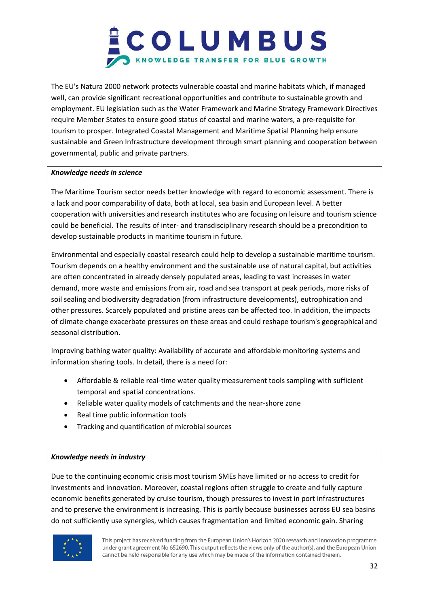

The EU's Natura 2000 network protects vulnerable coastal and marine habitats which, if managed well, can provide significant recreational opportunities and contribute to sustainable growth and employment. EU legislation such as the Water Framework and Marine Strategy Framework Directives require Member States to ensure good status of coastal and marine waters, a pre-requisite for tourism to prosper. Integrated Coastal Management and Maritime Spatial Planning help ensure sustainable and Green Infrastructure development through smart planning and cooperation between governmental, public and private partners.

#### *Knowledge needs in science*

The Maritime Tourism sector needs better knowledge with regard to economic assessment. There is a lack and poor comparability of data, both at local, sea basin and European level. A better cooperation with universities and research institutes who are focusing on leisure and tourism science could be beneficial. The results of inter- and transdisciplinary research should be a precondition to develop sustainable products in maritime tourism in future.

Environmental and especially coastal research could help to develop a sustainable maritime tourism. Tourism depends on a healthy environment and the sustainable use of natural capital, but activities are often concentrated in already densely populated areas, leading to vast increases in water demand, more waste and emissions from air, road and sea transport at peak periods, more risks of soil sealing and biodiversity degradation (from infrastructure developments), eutrophication and other pressures. Scarcely populated and pristine areas can be affected too. In addition, the impacts of climate change exacerbate pressures on these areas and could reshape tourism's geographical and seasonal distribution.

Improving bathing water quality: Availability of accurate and affordable monitoring systems and information sharing tools. In detail, there is a need for:

- Affordable & reliable real-time water quality measurement tools sampling with sufficient temporal and spatial concentrations.
- Reliable water quality models of catchments and the near-shore zone
- Real time public information tools
- Tracking and quantification of microbial sources

#### *Knowledge needs in industry*

Due to the continuing economic crisis most tourism SMEs have limited or no access to credit for investments and innovation. Moreover, coastal regions often struggle to create and fully capture economic benefits generated by cruise tourism, though pressures to invest in port infrastructures and to preserve the environment is increasing. This is partly because businesses across EU sea basins do not sufficiently use synergies, which causes fragmentation and limited economic gain. Sharing

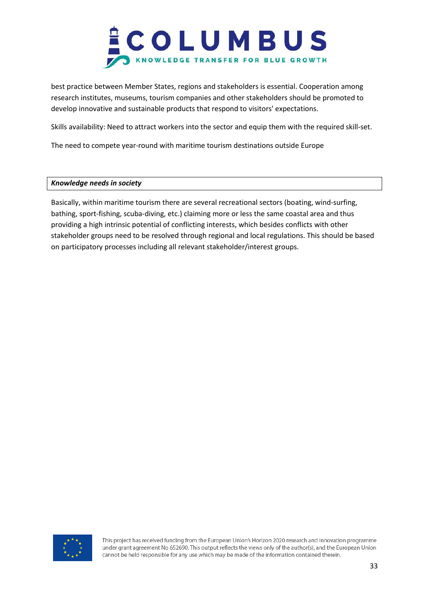

best practice between Member States, regions and stakeholders is essential. Cooperation among research institutes, museums, tourism companies and other stakeholders should be promoted to develop innovative and sustainable products that respond to visitors' expectations.

Skills availability: Need to attract workers into the sector and equip them with the required skill-set.

The need to compete year-round with maritime tourism destinations outside Europe

#### *Knowledge needs in society*

Basically, within maritime tourism there are several recreational sectors (boating, wind-surfing, bathing, sport-fishing, scuba-diving, etc.) claiming more or less the same coastal area and thus providing a high intrinsic potential of conflicting interests, which besides conflicts with other stakeholder groups need to be resolved through regional and local regulations. This should be based on participatory processes including all relevant stakeholder/interest groups.

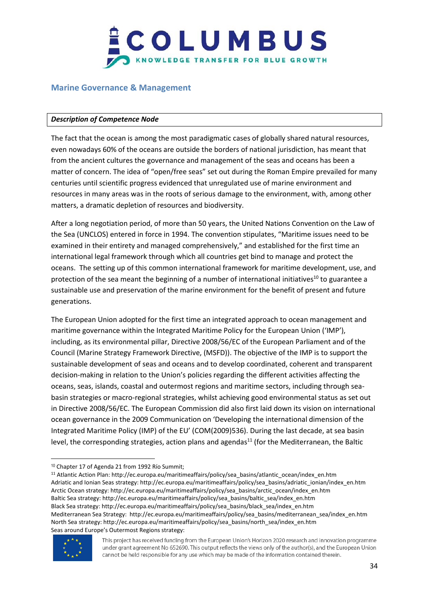

#### <span id="page-33-0"></span>**Marine Governance & Management**

#### *Description of Competence Node*

The fact that the ocean is among the most paradigmatic cases of globally shared natural resources, even nowadays 60% of the oceans are outside the borders of national jurisdiction, has meant that from the ancient cultures the governance and management of the seas and oceans has been a matter of concern. The idea of "open/free seas" set out during the Roman Empire prevailed for many centuries until scientific progress evidenced that unregulated use of marine environment and resources in many areas was in the roots of serious damage to the environment, with, among other matters, a dramatic depletion of resources and biodiversity.

After a long negotiation period, of more than 50 years, the United Nations Convention on the Law of the Sea (UNCLOS) entered in force in 1994. The convention stipulates, "Maritime issues need to be examined in their entirety and managed comprehensively," and established for the first time an international legal framework through which all countries get bind to manage and protect the oceans. The setting up of this common international framework for maritime development, use, and protection of the sea meant the beginning of a number of international initiatives<sup>10</sup> to guarantee a sustainable use and preservation of the marine environment for the benefit of present and future generations.

The European Union adopted for the first time an integrated approach to ocean management and maritime governance within the Integrated Maritime Policy for the European Union ('IMP'), including, as its environmental pillar, Directive 2008/56/EC of the European Parliament and of the Council (Marine Strategy Framework Directive, (MSFD)). The objective of the IMP is to support the sustainable development of seas and oceans and to develop coordinated, coherent and transparent decision-making in relation to the Union's policies regarding the different activities affecting the oceans, seas, islands, coastal and outermost regions and maritime sectors, including through seabasin strategies or macro-regional strategies, whilst achieving good environmental status as set out in Directive 2008/56/EC. The European Commission did also first laid down its vision on international ocean governance in the 2009 Communication on 'Developing the international dimension of the Integrated Maritime Policy (IMP) of the EU' (COM(2009)536). During the last decade, at sea basin level, the corresponding strategies, action plans and agendas<sup>11</sup> (for the Mediterranean, the Baltic

<sup>&</sup>lt;sup>11</sup> Atlantic Action Plan: http://ec.europa.eu/maritimeaffairs/policy/sea\_basins/atlantic\_ocean/index\_en.htm Adriatic and Ionian Seas strategy: http://ec.europa.eu/maritimeaffairs/policy/sea\_basins/adriatic\_ionian/index\_en.htm Arctic Ocean strategy: http://ec.europa.eu/maritimeaffairs/policy/sea\_basins/arctic\_ocean/index\_en.htm Baltic Sea strategy: http://ec.europa.eu/maritimeaffairs/policy/sea\_basins/baltic\_sea/index\_en.htm Black Sea strategy: http://ec.europa.eu/maritimeaffairs/policy/sea\_basins/black\_sea/index\_en.htm Mediterranean Sea Strategy: http://ec.europa.eu/maritimeaffairs/policy/sea\_basins/mediterranean\_sea/index\_en.htm North Sea strategy: http://ec.europa.eu/maritimeaffairs/policy/sea\_basins/north\_sea/index\_en.htm Seas around Europe's Outermost Regions strategy:



 $\overline{a}$ 

<sup>&</sup>lt;sup>10</sup> Chapter 17 of Agenda 21 from 1992 Río Summit;

This project has received funding from the European Union's Horizon 2020 research and innovation programme under grant agreement No 652690. This output reflects the views only of the author(s), and the European Union cannot be held responsible for any use which may be made of the information contained therein.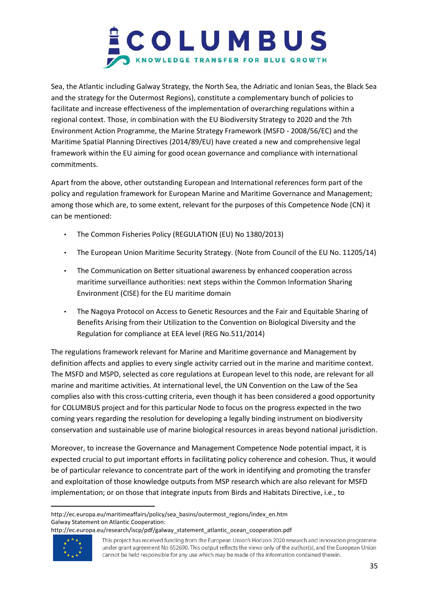

Sea, the Atlantic including Galway Strategy, the North Sea, the Adriatic and Ionian Seas, the Black Sea and the strategy for the Outermost Regions), constitute a complementary bunch of policies to facilitate and increase effectiveness of the implementation of overarching regulations within a regional context. Those, in combination with the EU Biodiversity Strategy to 2020 and the 7th Environment Action Programme, the Marine Strategy Framework (MSFD - 2008/56/EC) and the Maritime Spatial Planning Directives (2014/89/EU) have created a new and comprehensive legal framework within the EU aiming for good ocean governance and compliance with international commitments.

Apart from the above, other outstanding European and International references form part of the policy and regulation framework for European Marine and Maritime Governance and Management; among those which are, to some extent, relevant for the purposes of this Competence Node (CN) it can be mentioned:

- The Common Fisheries Policy (REGULATION (EU) No 1380/2013)
- The European Union Maritime Security Strategy. (Note from Council of the EU No. 11205/14)
- The Communication on Better situational awareness by enhanced cooperation across maritime surveillance authorities: next steps within the Common Information Sharing Environment (CISE) for the EU maritime domain
- The Nagoya Protocol on Access to Genetic Resources and the Fair and Equitable Sharing of Benefits Arising from their Utilization to the Convention on Biological Diversity and the Regulation for compliance at EEA level (REG No.511/2014)

The regulations framework relevant for Marine and Maritime governance and Management by definition affects and applies to every single activity carried out in the marine and maritime context. The MSFD and MSPD, selected as core regulations at European level to this node, are relevant for all marine and maritime activities. At international level, the UN Convention on the Law of the Sea complies also with this cross-cutting criteria, even though it has been considered a good opportunity for COLUMBUS project and for this particular Node to focus on the progress expected in the two coming years regarding the resolution for developing a legally binding instrument on biodiversity conservation and sustainable use of marine biological resources in areas beyond national jurisdiction.

Moreover, to increase the Governance and Management Competence Node potential impact, it is expected crucial to put important efforts in facilitating policy coherence and cohesion. Thus, it would be of particular relevance to concentrate part of the work in identifying and promoting the transfer and exploitation of those knowledge outputs from MSP research which are also relevant for MSFD implementation; or on those that integrate inputs from Birds and Habitats Directive, i.e., to

http://ec.europa.eu/research/iscp/pdf/galway\_statement\_atlantic\_ocean\_cooperation.pdf



 $\overline{a}$ 

http://ec.europa.eu/maritimeaffairs/policy/sea\_basins/outermost\_regions/index\_en.htm Galway Statement on Atlantic Cooperation:

This project has received funding from the European Union's Horizon 2020 research and innovation programme under grant agreement No 652690. This output reflects the views only of the author(s), and the European Union cannot be held responsible for any use which may be made of the information contained therein.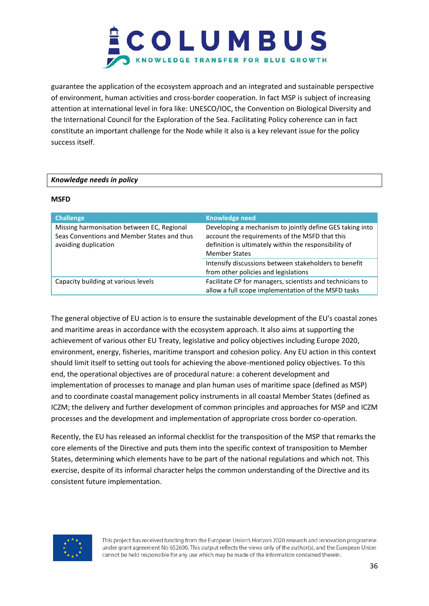

guarantee the application of the ecosystem approach and an integrated and sustainable perspective of environment, human activities and cross-border cooperation. In fact MSP is subject of increasing attention at international level in fora like: UNESCO/IOC, the Convention on Biological Diversity and the International Council for the Exploration of the Sea. Facilitating Policy coherence can in fact constitute an important challenge for the Node while it also is a key relevant issue for the policy success itself.

#### *Knowledge needs in policy*

#### **MSFD**

| <b>Challenge</b>                                                                                                  | <b>Knowledge need</b>                                                                                                                                                                       |
|-------------------------------------------------------------------------------------------------------------------|---------------------------------------------------------------------------------------------------------------------------------------------------------------------------------------------|
| Missing harmonisation between EC, Regional<br>Seas Conventions and Member States and thus<br>avoiding duplication | Developing a mechanism to jointly define GES taking into<br>account the requirements of the MSFD that this<br>definition is ultimately within the responsibility of<br><b>Member States</b> |
|                                                                                                                   | Intensify discussions between stakeholders to benefit<br>from other policies and legislations                                                                                               |
| Capacity building at various levels                                                                               | Facilitate CP for managers, scientists and technicians to<br>allow a full scope implementation of the MSFD tasks                                                                            |

The general objective of EU action is to ensure the sustainable development of the EU's coastal zones and maritime areas in accordance with the ecosystem approach. It also aims at supporting the achievement of various other EU Treaty, legislative and policy objectives including Europe 2020, environment, energy, fisheries, maritime transport and cohesion policy. Any EU action in this context should limit itself to setting out tools for achieving the above-mentioned policy objectives. To this end, the operational objectives are of procedural nature: a coherent development and implementation of processes to manage and plan human uses of maritime space (defined as MSP) and to coordinate coastal management policy instruments in all coastal Member States (defined as ICZM; the delivery and further development of common principles and approaches for MSP and ICZM processes and the development and implementation of appropriate cross border co-operation.

Recently, the EU has released an informal checklist for the transposition of the MSP that remarks the core elements of the Directive and puts them into the specific context of transposition to Member States, determining which elements have to be part of the national regulations and which not. This exercise, despite of its informal character helps the common understanding of the Directive and its consistent future implementation.

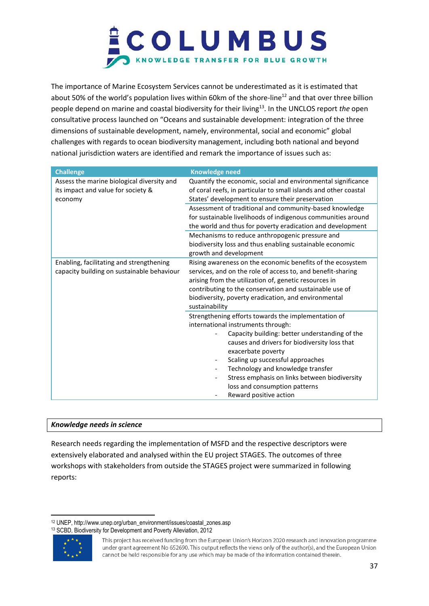

The importance of Marine Ecosystem Services cannot be underestimated as it is estimated that about 50% of the world's population lives within 60km of the shore-line<sup>12</sup> and that over three billion people depend on marine and coastal biodiversity for their living<sup>13</sup>. In the UNCLOS report *the* open consultative process launched on "Oceans and sustainable development: integration of the three dimensions of sustainable development, namely, environmental, social and economic" global challenges with regards to ocean biodiversity management, including both national and beyond national jurisdiction waters are identified and remark the importance of issues such as:

| <b>Challenge</b>                                                                            | <b>Knowledge need</b>                                                                                                                                                                                                                                                                                                                                                                                                               |
|---------------------------------------------------------------------------------------------|-------------------------------------------------------------------------------------------------------------------------------------------------------------------------------------------------------------------------------------------------------------------------------------------------------------------------------------------------------------------------------------------------------------------------------------|
| Assess the marine biological diversity and<br>its impact and value for society &<br>economy | Quantify the economic, social and environmental significance<br>of coral reefs, in particular to small islands and other coastal<br>States' development to ensure their preservation                                                                                                                                                                                                                                                |
|                                                                                             | Assessment of traditional and community-based knowledge<br>for sustainable livelihoods of indigenous communities around<br>the world and thus for poverty eradication and development                                                                                                                                                                                                                                               |
|                                                                                             | Mechanisms to reduce anthropogenic pressure and<br>biodiversity loss and thus enabling sustainable economic<br>growth and development                                                                                                                                                                                                                                                                                               |
| Enabling, facilitating and strengthening<br>capacity building on sustainable behaviour      | Rising awareness on the economic benefits of the ecosystem<br>services, and on the role of access to, and benefit-sharing<br>arising from the utilization of, genetic resources in<br>contributing to the conservation and sustainable use of<br>biodiversity, poverty eradication, and environmental<br>sustainability                                                                                                             |
|                                                                                             | Strengthening efforts towards the implementation of<br>international instruments through:<br>Capacity building: better understanding of the<br>causes and drivers for biodiversity loss that<br>exacerbate poverty<br>Scaling up successful approaches<br>$\overline{\phantom{a}}$<br>Technology and knowledge transfer<br>Stress emphasis on links between biodiversity<br>loss and consumption patterns<br>Reward positive action |

#### *Knowledge needs in science*

Research needs regarding the implementation of MSFD and the respective descriptors were extensively elaborated and analysed within the EU project STAGES. The outcomes of three workshops with stakeholders from outside the STAGES project were summarized in following reports:

<sup>12</sup> UNEP, http://www.unep.org/urban\_environment/issues/coastal\_zones.asp <sup>13</sup> SCBD, Biodiversity for Development and Poverty Alleviation, 2012



 $\overline{\phantom{a}}$ 

This project has received funding from the European Union's Horizon 2020 research and innovation programme under grant agreement No 652690. This output reflects the views only of the author(s), and the European Union cannot be held responsible for any use which may be made of the information contained therein.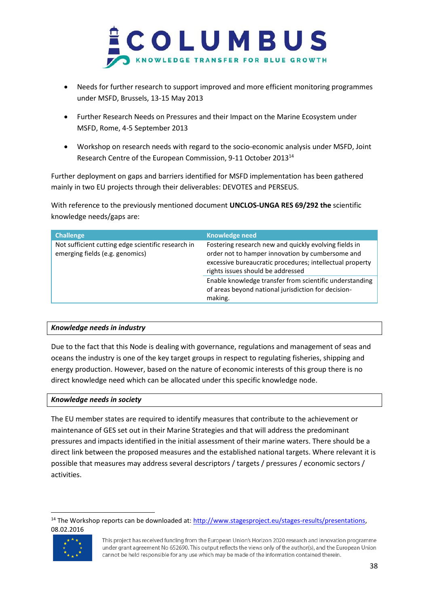

- Needs for further research to support improved and more efficient monitoring programmes under MSFD, Brussels, 13-15 May 2013
- Further Research Needs on Pressures and their Impact on the Marine Ecosystem under MSFD, Rome, 4-5 September 2013
- Workshop on research needs with regard to the socio-economic analysis under MSFD, Joint Research Centre of the European Commission, 9-11 October 2013<sup>14</sup>

Further deployment on gaps and barriers identified for MSFD implementation has been gathered mainly in two EU projects through their deliverables: DEVOTES and PERSEUS.

With reference to the previously mentioned document **UNCLOS-UNGA RES 69/292 the** scientific knowledge needs/gaps are:

| <b>Challenge</b>                                                                      | <b>Knowledge need</b>                                                                                                                                                                                      |
|---------------------------------------------------------------------------------------|------------------------------------------------------------------------------------------------------------------------------------------------------------------------------------------------------------|
| Not sufficient cutting edge scientific research in<br>emerging fields (e.g. genomics) | Fostering research new and quickly evolving fields in<br>order not to hamper innovation by cumbersome and<br>excessive bureaucratic procedures; intellectual property<br>rights issues should be addressed |
|                                                                                       | Enable knowledge transfer from scientific understanding<br>of areas beyond national jurisdiction for decision-<br>making.                                                                                  |

#### *Knowledge needs in industry*

Due to the fact that this Node is dealing with governance, regulations and management of seas and oceans the industry is one of the key target groups in respect to regulating fisheries, shipping and energy production. However, based on the nature of economic interests of this group there is no direct knowledge need which can be allocated under this specific knowledge node.

#### *Knowledge needs in society*

The EU member states are required to identify measures that contribute to the achievement or maintenance of GES set out in their Marine Strategies and that will address the predominant pressures and impacts identified in the initial assessment of their marine waters. There should be a direct link between the proposed measures and the established national targets. Where relevant it is possible that measures may address several descriptors / targets / pressures / economic sectors / activities.

 $\overline{\phantom{a}}$ <sup>14</sup> The Workshop reports can be downloaded at: [http://www.stagesproject.eu/stages-results/presentations,](http://www.stagesproject.eu/stages-results/presentations) 08.02.2016



This project has received funding from the European Union's Horizon 2020 research and innovation programme under grant agreement No 652690. This output reflects the views only of the author(s), and the European Union cannot be held responsible for any use which may be made of the information contained therein.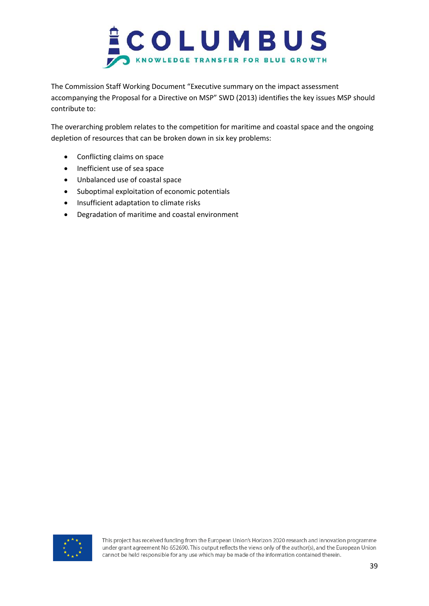

The Commission Staff Working Document "Executive summary on the impact assessment accompanying the Proposal for a Directive on MSP" SWD (2013) identifies the key issues MSP should contribute to:

The overarching problem relates to the competition for maritime and coastal space and the ongoing depletion of resources that can be broken down in six key problems:

- Conflicting claims on space
- Inefficient use of sea space
- Unbalanced use of coastal space
- Suboptimal exploitation of economic potentials
- Insufficient adaptation to climate risks
- Degradation of maritime and coastal environment

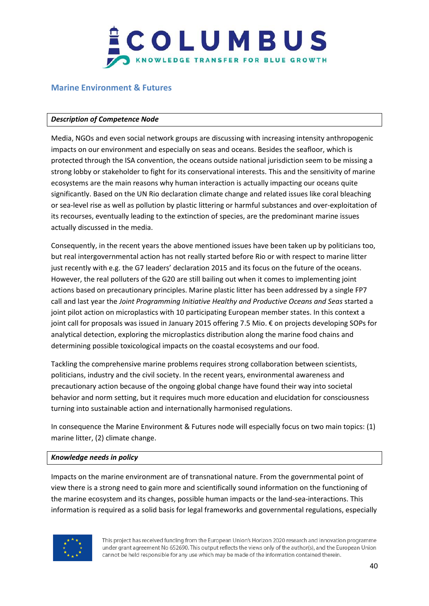

#### <span id="page-39-0"></span>**Marine Environment & Futures**

#### *Description of Competence Node*

Media, NGOs and even social network groups are discussing with increasing intensity anthropogenic impacts on our environment and especially on seas and oceans. Besides the seafloor, which is protected through the ISA convention, the oceans outside national jurisdiction seem to be missing a strong lobby or stakeholder to fight for its conservational interests. This and the sensitivity of marine ecosystems are the main reasons why human interaction is actually impacting our oceans quite significantly. Based on the UN Rio declaration climate change and related issues like coral bleaching or sea-level rise as well as pollution by plastic littering or harmful substances and over-exploitation of its recourses, eventually leading to the extinction of species, are the predominant marine issues actually discussed in the media.

Consequently, in the recent years the above mentioned issues have been taken up by politicians too, but real intergovernmental action has not really started before Rio or with respect to marine litter just recently with e.g. the G7 leaders' declaration 2015 and its focus on the future of the oceans. However, the real polluters of the G20 are still bailing out when it comes to implementing joint actions based on precautionary principles. Marine plastic litter has been addressed by a single FP7 call and last year the *Joint Programming Initiative Healthy and Productive Oceans and Seas* started a joint pilot action on microplastics with 10 participating European member states. In this context a joint call for proposals was issued in January 2015 offering 7.5 Mio. € on projects developing SOPs for analytical detection, exploring the microplastics distribution along the marine food chains and determining possible toxicological impacts on the coastal ecosystems and our food.

Tackling the comprehensive marine problems requires strong collaboration between scientists, politicians, industry and the civil society. In the recent years, environmental awareness and precautionary action because of the ongoing global change have found their way into societal behavior and norm setting, but it requires much more education and elucidation for consciousness turning into sustainable action and internationally harmonised regulations.

In consequence the Marine Environment & Futures node will especially focus on two main topics: (1) marine litter, (2) climate change.

#### *Knowledge needs in policy*

Impacts on the marine environment are of transnational nature. From the governmental point of view there is a strong need to gain more and scientifically sound information on the functioning of the marine ecosystem and its changes, possible human impacts or the land-sea-interactions. This information is required as a solid basis for legal frameworks and governmental regulations, especially

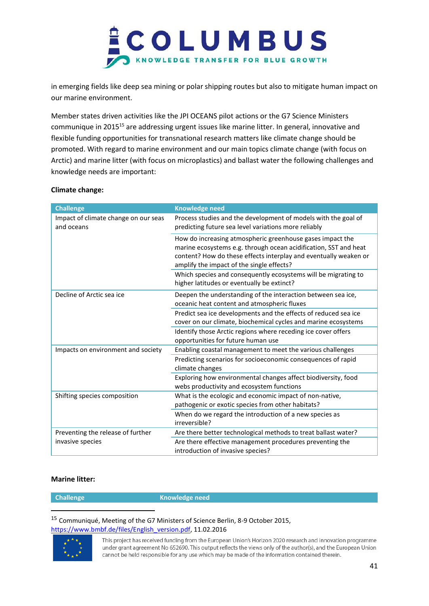

in emerging fields like deep sea mining or polar shipping routes but also to mitigate human impact on our marine environment.

Member states driven activities like the JPI OCEANS pilot actions or the G7 Science Ministers communique in 2015<sup>15</sup> are addressing urgent issues like marine litter. In general, innovative and flexible funding opportunities for transnational research matters like climate change should be promoted. With regard to marine environment and our main topics climate change (with focus on Arctic) and marine litter (with focus on microplastics) and ballast water the following challenges and knowledge needs are important:

#### **Climate change:**

| <b>Challenge</b>                                   | <b>Knowledge need</b>                                                                                                                                                                                                                          |
|----------------------------------------------------|------------------------------------------------------------------------------------------------------------------------------------------------------------------------------------------------------------------------------------------------|
| Impact of climate change on our seas<br>and oceans | Process studies and the development of models with the goal of<br>predicting future sea level variations more reliably                                                                                                                         |
|                                                    | How do increasing atmospheric greenhouse gases impact the<br>marine ecosystems e.g. through ocean acidification, SST and heat<br>content? How do these effects interplay and eventually weaken or<br>amplify the impact of the single effects? |
|                                                    | Which species and consequently ecosystems will be migrating to<br>higher latitudes or eventually be extinct?                                                                                                                                   |
| Decline of Arctic sea ice                          | Deepen the understanding of the interaction between sea ice,<br>oceanic heat content and atmospheric fluxes                                                                                                                                    |
|                                                    | Predict sea ice developments and the effects of reduced sea ice<br>cover on our climate, biochemical cycles and marine ecosystems                                                                                                              |
|                                                    | Identify those Arctic regions where receding ice cover offers<br>opportunities for future human use                                                                                                                                            |
| Impacts on environment and society                 | Enabling coastal management to meet the various challenges                                                                                                                                                                                     |
|                                                    | Predicting scenarios for socioeconomic consequences of rapid<br>climate changes                                                                                                                                                                |
|                                                    | Exploring how environmental changes affect biodiversity, food<br>webs productivity and ecosystem functions                                                                                                                                     |
| Shifting species composition                       | What is the ecologic and economic impact of non-native,                                                                                                                                                                                        |
|                                                    | pathogenic or exotic species from other habitats?                                                                                                                                                                                              |
|                                                    | When do we regard the introduction of a new species as<br>irreversible?                                                                                                                                                                        |
| Preventing the release of further                  | Are there better technological methods to treat ballast water?                                                                                                                                                                                 |
| invasive species                                   | Are there effective management procedures preventing the<br>introduction of invasive species?                                                                                                                                                  |

#### **Marine litter:**

l

**Challenge Knowledge need** 

<sup>15</sup> Communiqué, Meeting of the G7 Ministers of Science Berlin, 8-9 October 2015, [https://www.bmbf.de/files/English\\_version.pdf,](https://www.bmbf.de/files/English_version.pdf) 11.02.2016

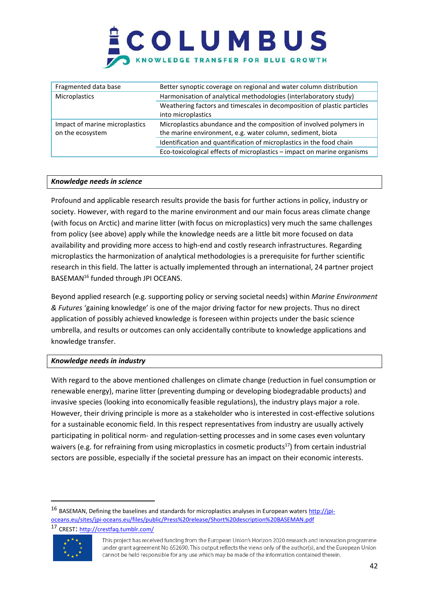| Fragmented data base           | Better synoptic coverage on regional and water column distribution      |
|--------------------------------|-------------------------------------------------------------------------|
| Microplastics                  | Harmonisation of analytical methodologies (interlaboratory study)       |
|                                | Weathering factors and timescales in decomposition of plastic particles |
|                                | into microplastics                                                      |
| Impact of marine microplastics | Microplastics abundance and the composition of involved polymers in     |
| on the ecosystem               | the marine environment, e.g. water column, sediment, biota              |
|                                | Identification and quantification of microplastics in the food chain    |
|                                | Eco-toxicological effects of microplastics - impact on marine organisms |

#### *Knowledge needs in science*

Profound and applicable research results provide the basis for further actions in policy, industry or society. However, with regard to the marine environment and our main focus areas climate change (with focus on Arctic) and marine litter (with focus on microplastics) very much the same challenges from policy (see above) apply while the knowledge needs are a little bit more focused on data availability and providing more access to high-end and costly research infrastructures. Regarding microplastics the harmonization of analytical methodologies is a prerequisite for further scientific research in this field. The latter is actually implemented through an international, 24 partner project BASEMAN<sup>16</sup> funded through JPI OCEANS.

Beyond applied research (e.g. supporting policy or serving societal needs) within *Marine Environment & Futures* 'gaining knowledge' is one of the major driving factor for new projects. Thus no direct application of possibly achieved knowledge is foreseen within projects under the basic science umbrella, and results or outcomes can only accidentally contribute to knowledge applications and knowledge transfer.

#### *Knowledge needs in industry*

With regard to the above mentioned challenges on climate change (reduction in fuel consumption or renewable energy), marine litter (preventing dumping or developing biodegradable products) and invasive species (looking into economically feasible regulations), the industry plays major a role. However, their driving principle is more as a stakeholder who is interested in cost-effective solutions for a sustainable economic field. In this respect representatives from industry are usually actively participating in political norm- and regulation-setting processes and in some cases even voluntary waivers (e.g. for refraining from using microplastics in cosmetic products<sup>17</sup>) from certain industrial sectors are possible, especially if the societal pressure has an impact on their economic interests.

16 BASEMAN, Defining the baselines and standards for microplastics analyses in European water[s http://jpi](http://jpi-oceans.eu/sites/jpi-oceans.eu/files/public/Press%20release/Short%20description%20BASEMAN.pdf)[oceans.eu/sites/jpi-oceans.eu/files/public/Press%20release/Short%20description%20BASEMAN.pdf](http://jpi-oceans.eu/sites/jpi-oceans.eu/files/public/Press%20release/Short%20description%20BASEMAN.pdf) <sup>17</sup> CREST: <http://crestfaq.tumblr.com/>



 $\overline{\phantom{a}}$ 

This project has received funding from the European Union's Horizon 2020 research and innovation programme under grant agreement No 652690. This output reflects the views only of the author(s), and the European Union cannot be held responsible for any use which may be made of the information contained therein.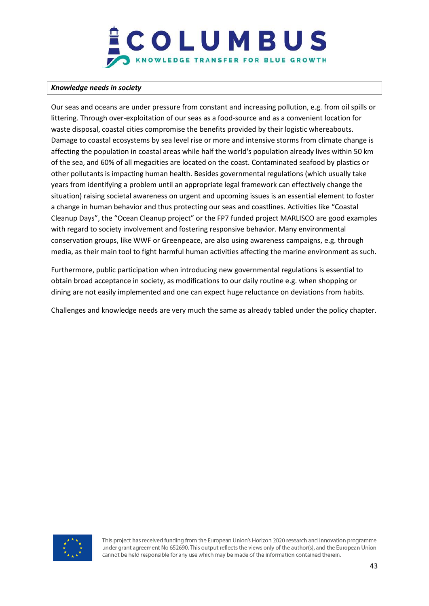#### *Knowledge needs in society*

Our seas and oceans are under pressure from constant and increasing pollution, e.g. from oil spills or littering. Through over-exploitation of our seas as a food-source and as a convenient location for waste disposal, coastal cities compromise the benefits provided by their logistic whereabouts. Damage to coastal ecosystems by sea level rise or more and intensive storms from climate change is affecting the population in coastal areas while half the world's population already lives within 50 km of the sea, and 60% of all megacities are located on the coast. Contaminated seafood by plastics or other pollutants is impacting human health. Besides governmental regulations (which usually take years from identifying a problem until an appropriate legal framework can effectively change the situation) raising societal awareness on urgent and upcoming issues is an essential element to foster a change in human behavior and thus protecting our seas and coastlines. Activities like "Coastal Cleanup Days", the "Ocean Cleanup project" or the FP7 funded project MARLISCO are good examples with regard to society involvement and fostering responsive behavior. Many environmental conservation groups, like WWF or Greenpeace, are also using awareness campaigns, e.g. through media, as their main tool to fight harmful human activities affecting the marine environment as such.

Furthermore, public participation when introducing new governmental regulations is essential to obtain broad acceptance in society, as modifications to our daily routine e.g. when shopping or dining are not easily implemented and one can expect huge reluctance on deviations from habits.

Challenges and knowledge needs are very much the same as already tabled under the policy chapter.

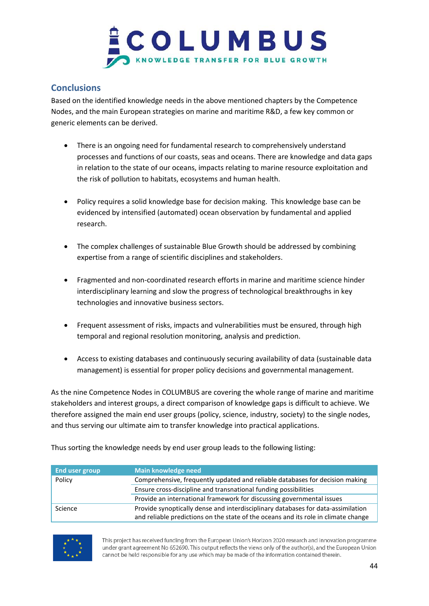

### <span id="page-43-0"></span>**Conclusions**

Based on the identified knowledge needs in the above mentioned chapters by the Competence Nodes, and the main European strategies on marine and maritime R&D, a few key common or generic elements can be derived.

- There is an ongoing need for fundamental research to comprehensively understand processes and functions of our coasts, seas and oceans. There are knowledge and data gaps in relation to the state of our oceans, impacts relating to marine resource exploitation and the risk of pollution to habitats, ecosystems and human health.
- Policy requires a solid knowledge base for decision making. This knowledge base can be evidenced by intensified (automated) ocean observation by fundamental and applied research.
- The complex challenges of sustainable Blue Growth should be addressed by combining expertise from a range of scientific disciplines and stakeholders.
- Fragmented and non-coordinated research efforts in marine and maritime science hinder interdisciplinary learning and slow the progress of technological breakthroughs in key technologies and innovative business sectors.
- Frequent assessment of risks, impacts and vulnerabilities must be ensured, through high temporal and regional resolution monitoring, analysis and prediction.
- Access to existing databases and continuously securing availability of data (sustainable data management) is essential for proper policy decisions and governmental management.

As the nine Competence Nodes in COLUMBUS are covering the whole range of marine and maritime stakeholders and interest groups, a direct comparison of knowledge gaps is difficult to achieve. We therefore assigned the main end user groups (policy, science, industry, society) to the single nodes, and thus serving our ultimate aim to transfer knowledge into practical applications.

Thus sorting the knowledge needs by end user group leads to the following listing:

| End user group | Main knowledge need                                                                |
|----------------|------------------------------------------------------------------------------------|
| Policy         | Comprehensive, frequently updated and reliable databases for decision making       |
|                | Ensure cross-discipline and transnational funding possibilities                    |
|                | Provide an international framework for discussing governmental issues              |
| Science        | Provide synoptically dense and interdisciplinary databases for data-assimilation   |
|                | and reliable predictions on the state of the oceans and its role in climate change |